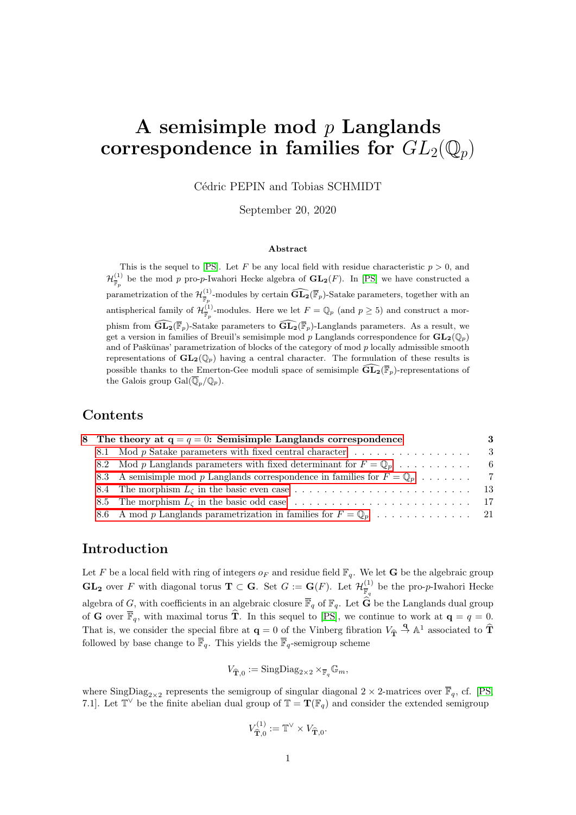# A semisimple mod  $p$  Langlands correspondence in families for  $GL_2(\mathbb{Q}_p)$

Cédric PEPIN and Tobias SCHMIDT

September 20, 2020

#### Abstract

This is the sequel to [\[PS\]](#page-22-0). Let F be any local field with residue characteristic  $p > 0$ , and  $\mathcal{H}^{(1)}_{\overline{\mathbb{F}}_p}$  be the mod p pro-p-Iwahori Hecke algebra of  $\mathbf{GL}_2(F)$ . In [\[PS\]](#page-22-0) we have constructed a parametrization of the  $\mathcal{H}^{(1)}_{\overline{\mathbb{F}}_p}$ -modules by certain  $\widehat{\mathbf{GL}_2(\mathbb{F}_p)}$ -Satake parameters, together with an antispherical family of  $\mathcal{H}^{(1)}_{\overline{\mathbb{F}}_p}$ -modules. Here we let  $F = \mathbb{Q}_p$  (and  $p \ge 5$ ) and construct a morphism from  $\widehat{\mathrm{GL}_{2}}(\overline{\mathbb{F}}_p)$ -Satake parameters to  $\widehat{\mathrm{GL}_{2}}(\overline{\mathbb{F}}_p)$ -Langlands parameters. As a result, we get a version in families of Breuil's semisimple mod p Langlands correspondence for  $\mathbf{GL}_2(\mathbb{Q}_p)$ and of Paškūnas' parametrization of blocks of the category of mod  $p$  locally admissible smooth representations of  $\mathbf{GL}_2(\mathbb{Q}_p)$  having a central character. The formulation of these results is possible thanks to the Emerton-Gee moduli space of semisimple  $\widehat{\mathrm{GL}_2(\mathbb{F}_p)}$ -representations of the Galois group  $Gal(\overline{\mathbb{Q}}_p/\mathbb{Q}_p).$ 

#### Contents

|  | 8 The theory at $q = q = 0$ : Semisimple Langlands correspondence                       | 3   |
|--|-----------------------------------------------------------------------------------------|-----|
|  |                                                                                         |     |
|  | 8.2 Mod p Langlands parameters with fixed determinant for $F = \mathbb{Q}_p$ ,          | - 6 |
|  | 8.3 A semisimple mod p Langlands correspondence in families for $F = \mathbb{Q}_p$ ,  7 |     |
|  |                                                                                         |     |
|  |                                                                                         |     |
|  |                                                                                         |     |

### Introduction

Let F be a local field with ring of integers  $o_F$  and residue field  $\mathbb{F}_q$ . We let **G** be the algebraic group  $\mathbf{GL_2}$  over F with diagonal torus  $\mathbf{T} \subset \mathbf{G}$ . Set  $G := \mathbf{G}(F)$ . Let  $\mathcal{H}^{(1)}_{\overline{\mathbb{R}}}$  $\frac{1}{\mathbb{F}_q}$  be the pro-p-Iwahori Hecke algebra of G, with coefficients in an algebraic closure  $\overline{\mathbb{F}}_q$  of  $\mathbb{F}_q$ . Let  $\widehat{G}$  be the Langlands dual group of **G** over  $\overline{\mathbb{F}}_q$ , with maximal torus **T**. In this sequel to [\[PS\]](#page-22-0), we continue to work at  $\mathbf{q} = q = 0$ . That is, we consider the special fibre at  $\mathbf{q} = 0$  of the Vinberg fibration  $V_{\hat{\mathbf{T}}} \stackrel{\mathbf{q}}{\rightarrow} \mathbb{A}^1$  associated to  $\hat{\mathbf{T}}$ followed by base change to  $\overline{\mathbb{F}}_q$ . This yields the  $\overline{\mathbb{F}}_q$ -semigroup scheme

$$
V_{\widehat{\mathbf{T}},0} := \mathrm{SingDiag}_{2\times 2} \times_{\overline{\mathbb{F}}_q} \mathbb{G}_m,
$$

where  $\text{SingDiag}_{2\times 2}$  represents the semigroup of singular diagonal  $2 \times 2$ -matrices over  $\overline{\mathbb{F}}_q$ , cf. [\[PS,](#page-22-0) 7.1]. Let  $\mathbb{T}^{\vee}$  be the finite abelian dual group of  $\mathbb{T} = \mathbf{T}(\mathbb{F}_q)$  and consider the extended semigroup

$$
V_{\widehat{\mathbf{T}},0}^{(1)} := \mathbb{T}^{\vee} \times V_{\widehat{\mathbf{T}},0}.
$$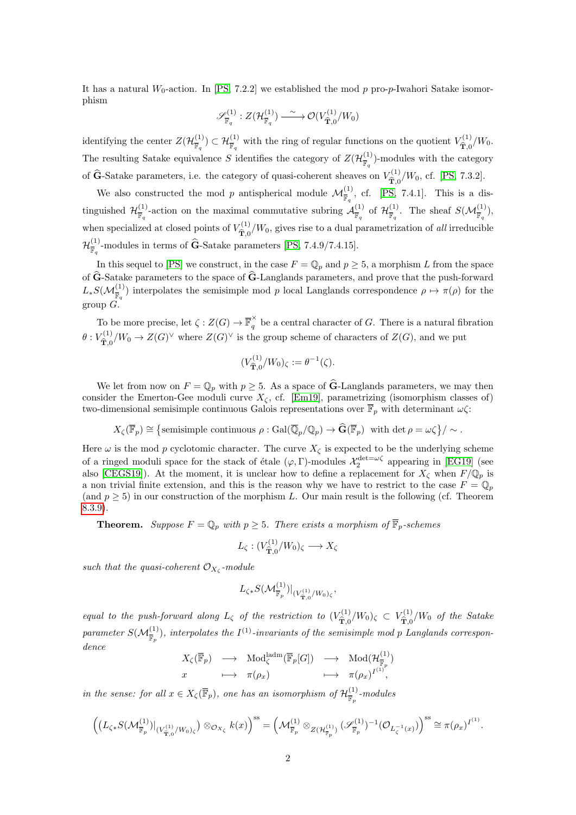It has a natural  $W_0$ -action. In [\[PS,](#page-22-0) 7.2.2] we established the mod p pro-p-Iwahori Satake isomorphism

$$
\mathscr{S}^{(1)}_{\overline{\mathbb{F}}_q}:Z(\mathcal{H}^{(1)}_{\overline{\mathbb{F}}_q})\xrightarrow{\;\sim\;} \mathcal{O}(V^{(1)}_{\widehat{\mathbf{T}},0}/W_0)
$$

identifying the center  $Z(\mathcal{H}_{\overline{m}}^{(1)})$  $(\mathcal{F}_{\overline{\mathbb{F}}_q}^{(1)}) \subset \mathcal{H}_{\overline{\mathbb{F}}_q}^{(1)}$  with the ring of regular functions on the quotient  $V_{\hat{\mathbf{T}},0}^{(1)}$  $\hat{\mathbf{T}}_{0,0}^{(1)}/W_{0}.$ The resulting Satake equivalence S identifies the category of  $Z(\mathcal{H}_{\overline{v}}^{(1)})$  $(\frac{1}{\mathbb{F}_q})$ -modules with the category of  $\widehat{G}$ -Satake parameters, i.e. the category of quasi-coherent sheaves on  $V_{\widehat{T},0}^{(1)}$  $T_{\hat{\mathbf{T}},0}^{(1)}/W_0$ , cf. [\[PS,](#page-22-0) 7.3.2].

We also constructed the mod p antispherical module  $\mathcal{M}_{\bar{\mathbb{F}}_q}^{(1)}$ , cf. [\[PS,](#page-22-0) 7.4.1]. This is a distinguished  $\mathcal{H}^{(1)}_{\overline{w}}$  $\frac{1}{\mathbb{F}_q}$ -action on the maximal commutative subring  $\mathcal{A}_{\overline{\mathbb{F}}_q}^{(1)}$  $\frac{(1)}{\overline{\mathbb{F}}_q}$  of  $\mathcal{H}^{(1)}_{\overline{\mathbb{F}}_q}$  $\overline{\mathbb{F}}_q^{\left(1\right)}$ . The sheaf  $S(\mathcal{M}_{\overline{\mathbb{F}}_q}^{(1)}),$ when specialized at closed points of  $V_{\widehat{\mathfrak{m}}}^{(1)}$  $\hat{\mathbf{T}}_{,0}^{(1)}/W_0$ , gives rise to a dual parametrization of *all* irreducible  $\mathcal{H}^{(1)}_{\scriptscriptstyle \overline{\mathfrak{m}}}$  $\frac{N^{1}}{\mathbb{F}_q}$ -modules in terms of **G**-Satake parameters [\[PS,](#page-22-0) 7.4.9/7.4.15].

In this sequel to [\[PS\]](#page-22-0) we construct, in the case  $F = \mathbb{Q}_p$  and  $p \ge 5$ , a morphism L from the space of  $\hat{G}$ -Satake parameters to the space of  $\hat{G}$ -Langlands parameters, and prove that the push-forward  $L_*S(\mathcal{M}_{\overline{\mathbb{F}}_q}^{(1)})$  interpolates the semisimple mod p local Langlands correspondence  $\rho \mapsto \pi(\rho)$  for the group  $G$ .

To be more precise, let  $\zeta: Z(G) \to \overline{\mathbb{F}}_q^{\times}$  be a central character of G. There is a natural fibration  $\theta: V_{\widehat{\mathbf{m}} \, \alpha}^{(1)}$  $T_{\hat{T},0}^{(1)}/W_0 \to Z(G)^\vee$  where  $Z(G)^\vee$  is the group scheme of characters of  $Z(G)$ , and we put

$$
(V_{\hat{\mathbf{T}},0}^{(1)}/W_0)_{\zeta} := \theta^{-1}(\zeta).
$$

We let from now on  $F = \mathbb{Q}_p$  with  $p \geq 5$ . As a space of  $\hat{G}$ -Langlands parameters, we may then consider the Emerton-Gee moduli curve  $X_{\zeta}$ , cf. [\[Em19\]](#page-21-0), parametrizing (isomorphism classes of) two-dimensional semisimple continuous Galois representations over  $\overline{\mathbb{F}}_p$  with determinant  $\omega \zeta$ :

$$
X_{\zeta}(\overline{\mathbb{F}}_p) \cong \left\{ \text{semisimple continuous } \rho : \text{Gal}(\overline{\mathbb{Q}}_p/\mathbb{Q}_p) \to \widehat{\mathbf{G}}(\overline{\mathbb{F}}_p) \text{ with det } \rho = \omega \zeta \right\} / \sim .
$$

Here  $\omega$  is the mod p cyclotomic character. The curve  $X_{\zeta}$  is expected to be the underlying scheme of a ringed moduli space for the stack of étale  $(\varphi, \Gamma)$ -modules  $\mathcal{X}_2^{\text{det}=\omega\zeta}$  appearing in [\[EG19\]](#page-21-1) (see also [\[CEGS19\]](#page-21-2)). At the moment, it is unclear how to define a replacement for  $X_{\zeta}$  when  $F/\mathbb{Q}_p$  is a non trivial finite extension, and this is the reason why we have to restrict to the case  $F = \mathbb{Q}_p$ (and  $p \geq 5$ ) in our construction of the morphism L. Our main result is the following (cf. Theorem [8.3.9\)](#page-10-0).

**Theorem.** Suppose  $F = \mathbb{Q}_p$  with  $p \geq 5$ . There exists a morphism of  $\overline{\mathbb{F}}_p$ -schemes

$$
L_{\zeta}: (V_{\widehat{\mathbf{T}},0}^{(1)}/W_0)_{\zeta} \longrightarrow X_{\zeta}
$$

such that the quasi-coherent  $\mathcal{O}_{X_{\zeta}}$ -module

$$
L_{\zeta*}S(\mathcal M^{(1)}_{\overline{\mathbb F}_p})|_{(V^{(1)}_{\hat{\mathbf T},0}/W_0)_{\zeta}}
$$

,

equal to the push-forward along  $L_{\zeta}$  of the restriction to  $(V_{\hat{\mathbf{T}}_0}^{(1)})$  $\hat{\mathbf{T}}_{0}^{(1)}/W_{0}$ )<sub> $\zeta \subset V_{\mathbf{\hat{T}},0}^{(1)}$ </sub>  $\hat{\mathbf{T}}_{0}^{(1)}/W_{0}$  of the Satake parameter  $S(\mathcal{M}^{(1)}_{\overline{\mathbb{F}}_p})$ , interpolates the  $I^{(1)}$ -invariants of the semisimple mod p Langlands correspondence

$$
\begin{array}{ccc}\nX_{\zeta}(\overline{\mathbb{F}}_p) & \longrightarrow & \text{Mod}_{\zeta}^{\text{ladm}}(\overline{\mathbb{F}}_p[G]) & \longrightarrow & \text{Mod}(\mathcal{H}_{\overline{\mathbb{F}}_p}^{(1)}) \\
x & \longmapsto & \pi(\rho_x) & \longmapsto & \pi(\rho_x)^{I^{(1)}},\n\end{array}
$$

in the sense: for all  $x \in X_{\zeta}(\overline{\mathbb{F}}_p)$ , one has an isomorphism of  $\mathcal{H}_{\overline{\mathbb{F}}}^{(1)}$  $\frac{1}{\mathbb{F}_p}$ -modules

$$
\left(\left(L_{\zeta*}S(\mathcal M^{(1)}_{\overline{\mathbb F}_p})\big|_{(V^{(1)}_{\widehat{\mathbf T},0}/W_0)_\zeta}\right)\otimes_{\mathcal O_{X_\zeta}}k(x)\right)^{\mathrm{ss}}=\left(\mathcal M^{(1)}_{\overline{\mathbb F}_p}\otimes_{Z(\mathcal H^{(1)}_{\overline{\mathbb F}_p})}(\mathscr S^{(1)}_{\overline{\mathbb F}_p})^{-1}(\mathcal O_{L_\zeta^{-1}(x)})\right)^{\mathrm{ss}}\cong\pi(\rho_x)^{I^{(1)}}.
$$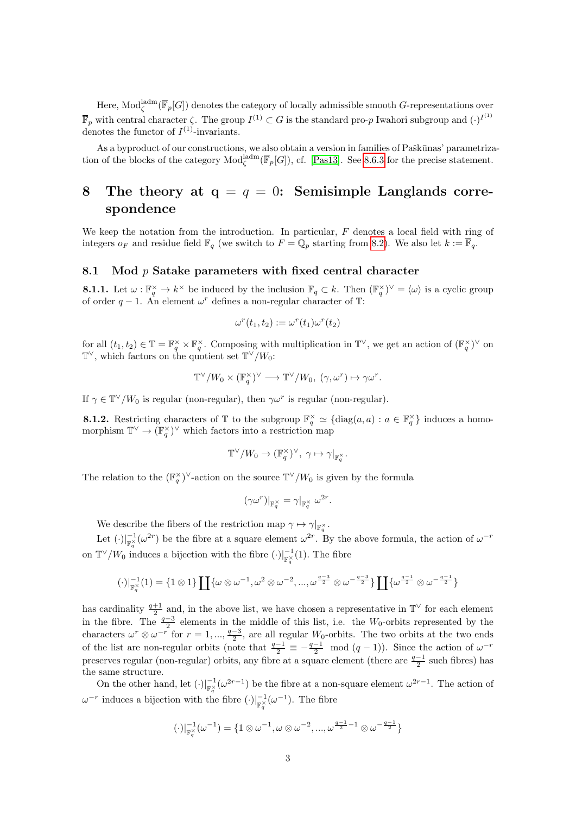Here,  $\text{Mod}_{\zeta}^{\text{ladm}}(\overline{\mathbb{F}}_p[G])$  denotes the category of locally admissible smooth G-representations over  $\overline{\mathbb{F}}_p$  with central character  $\zeta$ . The group  $I^{(1)} \subset G$  is the standard pro-p Iwahori subgroup and  $(\cdot)^{I^{(1)}}$ denotes the functor of  $I^{(1)}$ -invariants.

As a byproduct of our constructions, we also obtain a version in families of Paškūnas' parametrization of the blocks of the category  $\text{Mod}_{\zeta}^{\text{ladm}}(\overline{\mathbb{F}}_p[G])$ , cf. [\[Pas13\]](#page-22-1). See [8.6.3](#page-21-3) for the precise statement.

## <span id="page-2-0"></span>8 The theory at  $q = q = 0$ : Semisimple Langlands correspondence

We keep the notation from the introduction. In particular,  $F$  denotes a local field with ring of integers  $o_F$  and residue field  $\mathbb{F}_q$  (we switch to  $F = \mathbb{Q}_p$  starting from [8.2\)](#page-5-0). We also let  $k := \overline{\mathbb{F}}_q$ .

#### <span id="page-2-1"></span>8.1 Mod *p* Satake parameters with fixed central character

<span id="page-2-2"></span>**8.1.1.** Let  $\omega : \mathbb{F}_q^{\times} \to k^{\times}$  be induced by the inclusion  $\mathbb{F}_q \subset k$ . Then  $(\mathbb{F}_q^{\times})^{\vee} = \langle \omega \rangle$  is a cyclic group of order  $q-1$ . An element  $\omega^r$  defines a non-regular character of  $\mathbb{T}$ :

$$
\omega^r(t_1, t_2) := \omega^r(t_1)\omega^r(t_2)
$$

for all  $(t_1, t_2) \in \mathbb{T} = \mathbb{F}_q^{\times} \times \mathbb{F}_q^{\times}$ . Composing with multiplication in  $\mathbb{T}^{\vee}$ , we get an action of  $(\mathbb{F}_q^{\times})^{\vee}$  on  $\mathbb{T}^{\vee}$ , which factors on the quotient set  $\mathbb{T}^{\vee}/W_0$ :

$$
\mathbb{T}^\vee/W_0\times (\mathbb{F}_q^\times)^\vee\longrightarrow \mathbb{T}^\vee/W_0,\ (\gamma,\omega^r)\mapsto \gamma\omega^r.
$$

If  $\gamma \in \mathbb{T}^{\vee}/W_0$  is regular (non-regular), then  $\gamma \omega^r$  is regular (non-regular).

<span id="page-2-3"></span>**8.1.2.** Restricting characters of  $\mathbb{T}$  to the subgroup  $\mathbb{F}_q^{\times} \simeq \{ \text{diag}(a, a) : a \in \mathbb{F}_q^{\times} \}$  induces a homomorphism  $\mathbb{T}^{\vee} \to (\mathbb{F}_q^{\times})^{\vee}$  which factors into a restriction map

$$
\mathbb{T}^\vee/W_0 \to (\mathbb{F}_q^\times)^\vee, \ \gamma \mapsto \gamma|_{\mathbb{F}_q^\times}.
$$

The relation to the  $(\mathbb{F}_q^{\times})^{\vee}$ -action on the source  $\mathbb{T}^{\vee}/W_0$  is given by the formula

$$
(\gamma\omega^r)|_{\mathbb{F}_q^{\times}} = \gamma|_{\mathbb{F}_q^{\times}} \omega^{2r}.
$$

We describe the fibers of the restriction map  $\gamma \mapsto \gamma|_{\mathbb{F}_q^{\times}}$ .

Let  $(\cdot)|_{\mathbb{F}_q^{\times}}^{-1}(\omega^{2r})$  be the fibre at a square element  $\omega^{2r}$ . By the above formula, the action of  $\omega^{-r}$ on  $\mathbb{T}^{\vee}/W_0$  induces a bijection with the fibre  $(\cdot)|_{\mathbb{F}_q^{\times}}^{-1}(1)$ . The fibre

$$
(\cdot)|_{\mathbb{F}_q^\times}^{-1}(1)=\{1\otimes 1\}\coprod \{\omega\otimes \omega^{-1}, \omega^2\otimes \omega^{-2},...,\omega^{\frac{q-3}{2}}\otimes \omega^{-\frac{q-3}{2}}\}\coprod \{\omega^{\frac{q-1}{2}}\otimes \omega^{-\frac{q-1}{2}}\}
$$

has cardinality  $\frac{q+1}{2}$  and, in the above list, we have chosen a representative in  $\mathbb{T}^{\vee}$  for each element in the fibre. The  $\frac{q-3}{2}$  elements in the middle of this list, i.e. the W<sub>0</sub>-orbits represented by the characters  $\omega^r \otimes \omega^{-r}$  for  $r = 1, ..., \frac{q-3}{2}$ , are all regular  $W_0$ -orbits. The two orbits at the two ends of the list are non-regular orbits (note that  $\frac{q-1}{2} \equiv -\frac{q-1}{2} \mod (q-1)$ ). Since the action of  $\omega^{-r}$ preserves regular (non-regular) orbits, any fibre at a square element (there are  $\frac{q-1}{2}$  such fibres) has the same structure.

On the other hand, let  $(\cdot)|_{\mathbb{F}_q^{\times}}^{-1}(\omega^{2r-1})$  be the fibre at a non-square element  $\omega^{2r-1}$ . The action of  $\omega^{-r}$  induces a bijection with the fibre  $(\cdot)|_{\mathbb{F}_q^{\times}}^{-1}(\omega^{-1})$ . The fibre

$$
(\cdot)|_{\mathbb{F}_q^\times}^{-1}(\omega^{-1}) = \{1 \otimes \omega^{-1}, \omega \otimes \omega^{-2}, ..., \omega^{\frac{q-1}{2}-1} \otimes \omega^{-\frac{q-1}{2}}\}
$$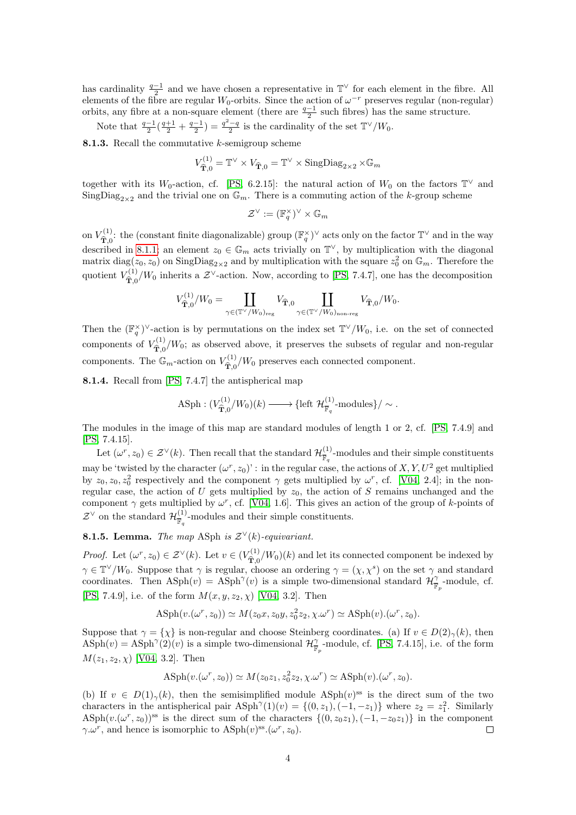has cardinality  $\frac{q-1}{2}$  and we have chosen a representative in  $\mathbb{T}^{\vee}$  for each element in the fibre. All elements of the fibre are regular  $W_0$ -orbits. Since the action of  $\omega^{-r}$  preserves regular (non-regular) orbits, any fibre at a non-square element (there are  $\frac{q-1}{2}$  such fibres) has the same structure.

Note that  $\frac{q-1}{2}(\frac{q+1}{2}+\frac{q-1}{2})=\frac{q^2-q}{2}$  is the cardinality of the set  $\mathbb{T}^{\vee}/W_0$ .

<span id="page-3-0"></span>**8.1.3.** Recall the commutative  $k$ -semigroup scheme

$$
V_{\widehat{\mathbf{T}},0}^{(1)} = \mathbb{T}^{\vee} \times V_{\widehat{\mathbf{T}},0} = \mathbb{T}^{\vee} \times \text{SingDiag}_{2 \times 2} \times \mathbb{G}_m
$$

together with its W<sub>0</sub>-action, cf. [\[PS,](#page-22-0) 6.2.15]: the natural action of W<sub>0</sub> on the factors  $\mathbb{T}^{\vee}$  and SingDiag<sub>2×2</sub> and the trivial one on  $\mathbb{G}_m$ . There is a commuting action of the k-group scheme

$$
\mathcal{Z}^{\vee} := (\mathbb{F}_q^{\times})^{\vee} \times \mathbb{G}_m
$$

on  $V_{\hat{\mathbf{T}}^0}^{(1)}$ : the (constant finite diagonalizable) group  $(\mathbb{F}_q^{\times})^{\vee}$  acts only on the factor  $\mathbb{T}^{\vee}$  and in the way described in [8.1.1;](#page-2-2) an element  $z_0 \in \mathbb{G}_m$  acts trivially on  $\mathbb{T}^\vee$ , by multiplication with the diagonal matrix diag( $z_0, z_0$ ) on  $\text{SingDiag}_{2\times 2}$  and by multiplication with the square  $z_0^2$  on  $\mathbb{G}_m$ . Therefore the quotient  $V_{\widehat{\mathbf{\hat{m}}}_{\widehat{\alpha}}}^{(1)}$  $\hat{\tau}_{0}^{(1)}/W_0$  inherits a  $\mathcal{Z}^{\vee}$ -action. Now, according to [\[PS,](#page-22-0) 7.4.7], one has the decomposition

$$
V_{\widehat{\mathbf{T}},0}^{(1)}/W_0 = \coprod_{\gamma \in (\mathbb{T}^\vee/W_0)_{\text{reg}}} V_{\widehat{\mathbf{T}},0} \coprod_{\gamma \in (\mathbb{T}^\vee/W_0)_{\text{non-reg}}} V_{\widehat{\mathbf{T}},0}/W_0.
$$

Then the  $(\mathbb{F}_q^{\times})^{\vee}$ -action is by permutations on the index set  $\mathbb{T}^{\vee}/W_0$ , i.e. on the set of connected components of  $V_{\hat{\mathbf{T}}_0}^{(1)}/W_0$ ; as observed above, it preserves the subsets of regular and non-regular  $\mathbf{T},0$ components. The  $\mathbb{G}_m$ -action on  $V_{\widehat{\mathbf{\pi}}_0}^{(1)}$  $\hat{\mathbf{T}}_{0}^{(1)}/W_{0}$  preserves each connected component.

<span id="page-3-1"></span>8.1.4. Recall from [\[PS,](#page-22-0) 7.4.7] the antispherical map

$$
\text{ASph} : (V_{\widehat{\mathbf{T}},0}^{(1)}/W_0)(k) \longrightarrow \{\text{left } \mathcal{H}_{\overline{\mathbb{F}}_q}^{(1)}\text{-modules}\}/\sim.
$$

The modules in the image of this map are standard modules of length 1 or 2, cf. [\[PS,](#page-22-0) 7.4.9] and [\[PS,](#page-22-0) 7.4.15].

Let  $(\omega^r, z_0) \in \mathcal{Z}^{\vee}(k)$ . Then recall that the standard  $\mathcal{H}_{\overline{\mathbb{R}}}^{(1)}$  $\frac{N}{\mathbb{F}_q}$ -modules and their simple constituents may be 'twisted by the character  $(\omega^r, z_0)$ ': in the regular case, the actions of  $X, Y, U^2$  get multiplied by  $z_0, z_0, z_0^2$  respectively and the component  $\gamma$  gets multiplied by  $\omega^r$ , cf. [\[V04,](#page-22-2) 2.4]; in the nonregular case, the action of  $U$  gets multiplied by  $z_0$ , the action of  $S$  remains unchanged and the component  $\gamma$  gets multiplied by  $\omega^r$ , cf. [\[V04,](#page-22-2) 1.6]. This gives an action of the group of k-points of  $\mathcal{Z}^{\vee}$  on the standard  $\mathcal{H}^{(1)}_{\overline{w}}$  $\frac{N}{\mathbb{F}_q}$ -modules and their simple constituents.

<span id="page-3-2"></span>**8.1.5. Lemma.** The map ASph is  $\mathcal{Z}^{\vee}(k)$ -equivariant.

*Proof.* Let  $(\omega^r, z_0) \in \mathcal{Z}^{\vee}(k)$ . Let  $v \in (V_{\hat{\mathcal{T}}_0}^{(1)}/W_0)(k)$  and let its connected component be indexed by  $\gamma \in \mathbb{T}^{\vee}/W_0$ . Suppose that  $\gamma$  is regular, choose an ordering  $\gamma = (\chi, \chi^s)$  on the set  $\gamma$  and standard coordinates. Then  $\text{ASph}(v) = \text{ASph}^{\gamma}(v)$  is a simple two-dimensional standard  $\mathcal{H}^{\gamma}_{\overline{\mathbb{F}}_p}$ -module, cf. [\[PS,](#page-22-0) 7.4.9], i.e. of the form  $M(x, y, z_2, \chi)$  [\[V04,](#page-22-2) 3.2]. Then

$$
\text{ASph}(v.(\omega^r, z_0)) \simeq M(z_0x, z_0y, z_0^2z_2, \chi.\omega^r) \simeq \text{ASph}(v).(\omega^r, z_0).
$$

Suppose that  $\gamma = \{\chi\}$  is non-regular and choose Steinberg coordinates. (a) If  $v \in D(2)_{\gamma}(k)$ , then  $\text{ASph}(v) = \text{ASph}^{\gamma}(2)(v)$  is a simple two-dimensional  $\mathcal{H}^{\gamma}_{\overline{\mathbb{F}}_p}$ -module, cf. [\[PS,](#page-22-0) 7.4.15], i.e. of the form  $M(z_1, z_2, \chi)$  [\[V04,](#page-22-2) 3.2]. Then

$$
\mathrm{ASph}(v.(\omega^r, z_0)) \simeq M(z_0 z_1, z_0^2 z_2, \chi. \omega^r) \simeq \mathrm{ASph}(v).(\omega^r, z_0).
$$

(b) If  $v \in D(1)_{\gamma}(k)$ , then the semisimplified module ASph $(v)$ <sup>ss</sup> is the direct sum of the two characters in the antispherical pair  $\text{ASph}^{\gamma}(1)(v) = \{(0, z_1), (-1, -z_1)\}\$  where  $z_2 = z_1^2$ . Similarly ASph $(v.(\omega^r, z_0))$ <sup>ss</sup> is the direct sum of the characters  $\{(0, z_0z_1), (-1, -z_0z_1)\}\$ in the component  $\gamma \cdot \omega^r$ , and hence is isomorphic to  $\text{ASph}(v)$ <sup>ss</sup>. $(\omega^r, z_0)$ .  $\Box$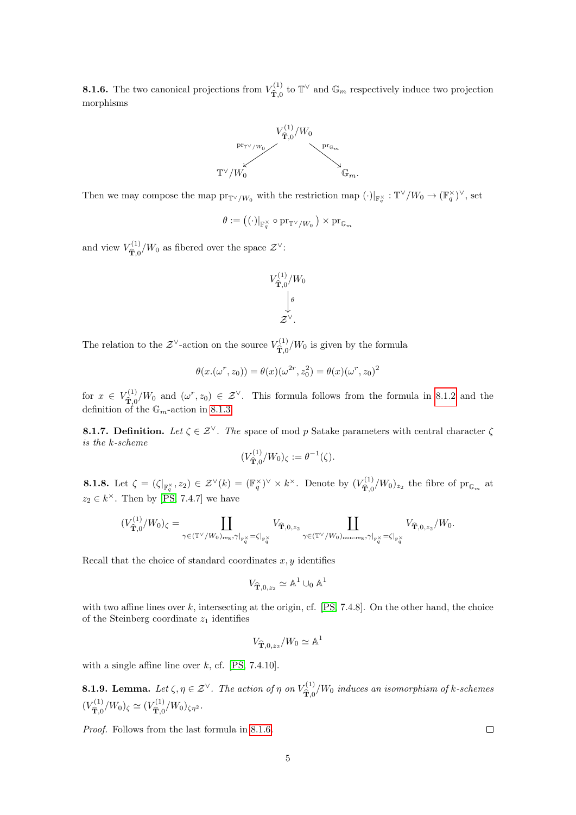<span id="page-4-0"></span>**8.1.6.** The two canonical projections from  $V_{\widehat{\mathfrak{m}}}^{(1)}$  $T_{\hat{\mathbf{T}},0}^{(1)}$  to  $\mathbb{T}^{\vee}$  and  $\mathbb{G}_{m}$  respectively induce two projection morphisms



Then we may compose the map  $\mathrm{pr}_{\mathbb{T}^\vee/W_0}$  with the restriction map  $(\cdot)|_{\mathbb{F}_q^\times} : \mathbb{T}^\vee/W_0 \to (\mathbb{F}_q^\times)^\vee$ , set

$$
\theta:=\left((\cdot)|_{{\mathbb{F}}_q^\times}\circ \operatorname{pr}_{\mathbb{T}^\vee/W_0}\right)\times \operatorname{pr}_{\mathbb{G}_m}
$$

and view  $V_{\widehat{\mathbf{\hat{m}}}_{\beta}}^{(1)}$  $\hat{\mathbf{T}}_{0}^{(1)}/W_{0}$  as fibered over the space  $\mathcal{Z}^{\vee}$ :

$$
V^{(1)}_{\widehat{\mathbf{T}},0}/W_0\n\downarrow^{\theta}\n\downarrow^{\theta}\n\mathcal{Z}^{\vee}.
$$

The relation to the  $\mathcal{Z}^{\vee}$ -action on the source  $V_{\widehat{\sigma}, \sigma}^{(1)}$  $T_{\hat{\mathbf{T}},0}^{(1)}/W_0$  is given by the formula

$$
\theta(x.(\omega^r,z_0))=\theta(x)(\omega^{2r},z_0^2)=\theta(x)(\omega^r,z_0)^2
$$

for  $x \in V_{\widehat{\mathbf{m}}_{\geq 0}}^{(1)}$  $\hat{T}_{c}^{(1)}/W_0$  and  $(\omega^r, z_0) \in \mathcal{Z}^{\vee}$ . This formula follows from the formula in [8.1.2](#page-2-3) and the definition of the  $\mathbb{G}_m$ -action in [8.1.3.](#page-3-0)

**8.1.7. Definition.** Let  $\zeta \in \mathcal{Z}^{\vee}$ . The space of mod p Satake parameters with central character  $\zeta$ is the k-scheme

$$
(V_{\widehat{\mathbf{T}},0}^{(1)}/W_0)_{\zeta} := \theta^{-1}(\zeta).
$$

**8.1.8.** Let  $\zeta = (\zeta|_{\mathbb{F}_q^{\times}}, z_2) \in \mathcal{Z}^{\vee}(k) = (\mathbb{F}_q^{\times})^{\vee} \times k^{\times}$ . Denote by  $(V_{\widehat{\mathbf{T}},0}^{(1)})$  $(\hat{\mathbf{T}}_{0}^{(1)}/W_{0})_{z_{2}}$  the fibre of  $\mathrm{pr}_{\mathbb{G}_{m}}$  at  $z_2 \in k^{\times}$ . Then by [\[PS,](#page-22-0) 7.4.7] we have

$$
(V_{\widehat{\mathbf{T}},0}^{(1)}/W_0)_{\zeta}=\coprod_{\gamma\in (\mathbb{T}^{\vee}/W_0)_{\text{reg}}, \gamma|_{\mathbb{F}_q^{\times}}=\zeta|_{\mathbb{F}_q^{\times}}} V_{\widehat{\mathbf{T}},0,z_2} \coprod_{\gamma\in (\mathbb{T}^{\vee}/W_0)_{\text{non-reg}}, \gamma|_{\mathbb{F}_q^{\times}}=\zeta|_{\mathbb{F}_q^{\times}}} V_{\widehat{\mathbf{T}},0,z_2}/W_0.
$$

Recall that the choice of standard coordinates  $x, y$  identifies

$$
V_{\widehat{\mathbf{T}},0,z_2} \simeq \mathbb{A}^1 \cup_0 \mathbb{A}^1
$$

with two affine lines over  $k$ , intersecting at the origin, cf.  $[PS, 7.4.8]$ . On the other hand, the choice of the Steinberg coordinate  $z_1$  identifies

$$
V_{\widehat{\mathbf{T}},0,z_2}/W_0\simeq \mathbb{A}^1
$$

with a single affine line over  $k$ , cf. [\[PS,](#page-22-0) 7.4.10].

<span id="page-4-1"></span>**8.1.9. Lemma.** Let  $\zeta, \eta \in \mathcal{Z}^{\vee}$ . The action of  $\eta$  on  $V_{\widehat{\mathfrak{D}}}^{(1)}$  $\hat{\mathbf{T}}_{0}^{(1)}/W_{0}$  induces an isomorphism of k-schemes  $(V_{\widehat{\mathbf{m}}_{\geq 0}}^{(1)}$  $\hat{\mathbf{T}}_{0}^{(1)}/W_{0}$ )<sub> $\zeta \simeq (V_{\mathbf{\hat{T}},0}^{(1)})$ </sub>  $\hat{\hat{\mathbf{T}}}_{0}^{(1)}/W_{0}\right)_{\zeta\eta^{2}}$ .

Proof. Follows from the last formula in [8.1.6.](#page-4-0)

 $\Box$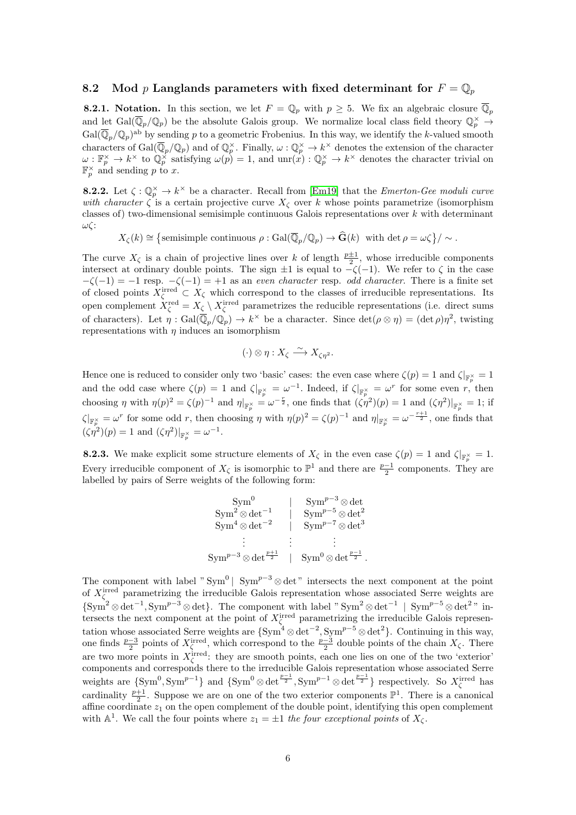#### <span id="page-5-0"></span>8.2 Mod p Langlands parameters with fixed determinant for  $F = \mathbb{Q}_p$

**8.2.1.** Notation. In this section, we let  $F = \mathbb{Q}_p$  with  $p \geq 5$ . We fix an algebraic closure  $\mathbb{Q}_p$ and let  $Gal(\overline{\mathbb{Q}}_p/\mathbb{Q}_p)$  be the absolute Galois group. We normalize local class field theory  $\mathbb{Q}_p^{\times} \to$  $Gal(\overline{\mathbb{Q}}_p/\mathbb{Q}_p)^{ab}$  by sending p to a geometric Frobenius. In this way, we identify the k-valued smooth characters of  $Gal(\overline{\mathbb{Q}}_p/\mathbb{Q}_p)$  and of  $\mathbb{Q}_p^{\times}$ . Finally,  $\omega:\mathbb{Q}_p^{\times} \to k^{\times}$  denotes the extension of the character  $\omega: \mathbb{F}_p^{\times} \to k^{\times}$  to  $\mathbb{Q}_p^{\times}$  satisfying  $\omega(p) = 1$ , and  $\text{unr}(x): \mathbb{Q}_p^{\times} \to k^{\times}$  denotes the character trivial on  $\mathbb{F}_p^{\times}$  and sending p to x.

<span id="page-5-1"></span>**8.2.2.** Let  $\zeta : \mathbb{Q}_p^{\times} \to k^{\times}$  be a character. Recall from [\[Em19\]](#page-21-0) that the *Emerton-Gee moduli curve* with character  $\zeta$  is a certain projective curve  $X_{\zeta}$  over k whose points parametrize (isomorphism classes of) two-dimensional semisimple continuous Galois representations over  $k$  with determinant ωζ:

 $X_{\zeta}(k) \cong \left\{\text{semisimple continuous } \rho : \text{Gal}(\overline{\mathbb{Q}}_p/\mathbb{Q}_p) \to \widehat{\mathbf{G}}(k) \text{ with } \det \rho = \omega \zeta\right\}/\sim.$ 

The curve  $X_{\zeta}$  is a chain of projective lines over k of length  $\frac{p\pm 1}{2}$ , whose irreducible components intersect at ordinary double points. The sign  $\pm 1$  is equal to  $-\zeta(-1)$ . We refer to  $\zeta$  in the case  $-\zeta(-1) = -1$  resp.  $-\zeta(-1) = +1$  as an even character resp. odd character. There is a finite set of closed points  $X_{\zeta}^{\text{irred}} \subset X_{\zeta}$  which correspond to the classes of irreducible representations. Its open complement  $X_{\zeta}^{\text{red}} = X_{\zeta} \setminus X_{\zeta}^{\text{irred}}$  parametrizes the reducible representations (i.e. direct sums of characters). Let  $\eta : \text{Gal}(\overline{\mathbb{Q}}_p/\mathbb{Q}_p) \to k^\times$  be a character. Since  $\det(\rho \otimes \eta) = (\det \rho)\eta^2$ , twisting representations with  $\eta$  induces an isomorphism

$$
(\cdot) \otimes \eta : X_{\zeta} \xrightarrow{\sim} X_{\zeta \eta^2}.
$$

Hence one is reduced to consider only two 'basic' cases: the even case where  $\zeta(p) = 1$  and  $\zeta|_{\mathbb{F}_p^{\times}} = 1$ and the odd case where  $\zeta(p) = 1$  and  $\zeta|_{\mathbb{F}_p^{\times}} = \omega^{-1}$ . Indeed, if  $\zeta|_{\mathbb{F}_p^{\times}} = \omega^r$  for some even r, then choosing  $\eta$  with  $\eta(p)^2 = \zeta(p)^{-1}$  and  $\eta|_{\mathbb{F}_p^{\times}} = \omega^{-\frac{r}{2}}$ , one finds that  $(\zeta \eta^2)(p) = 1$  and  $(\zeta \eta^2)|_{\mathbb{F}_p^{\times}} = 1$ ; if  $\zeta|_{\mathbb{F}_p^\times} = \omega^r$  for some odd r, then choosing  $\eta$  with  $\eta(p)^2 = \zeta(p)^{-1}$  and  $\eta|_{\mathbb{F}_p^\times} = \omega^{-\frac{r+1}{2}}$ , one finds that  $(\zeta \eta^2)(p) = 1$  and  $(\zeta \eta^2)|_{\mathbb{F}_p^{\times}} = \omega^{-1}$ .

<span id="page-5-2"></span>**8.2.3.** We make explicit some structure elements of  $X_{\zeta}$  in the even case  $\zeta(p) = 1$  and  $\zeta|_{\mathbb{F}_p^{\times}} = 1$ . Every irreducible component of  $X_{\zeta}$  is isomorphic to  $\mathbb{P}^{1}$  and there are  $\frac{p-1}{2}$  components. They are labelled by pairs of Serre weights of the following form:

$$
Sym^{0} \qquad \qquad \left| \qquad Sym^{p-3} \otimes \det^{-1} \right|
$$
\n
$$
Sym^{2} \otimes \det^{-1} \qquad \qquad \left| \qquad Sym^{p-5} \otimes \det^{2} \right|
$$
\n
$$
Sym^{4} \otimes \det^{-2} \qquad \qquad \left| \qquad Sym^{p-7} \otimes \det^{3} \right|
$$
\n
$$
Sym^{p-3} \otimes \det^{\frac{p+1}{2}} \qquad \qquad \left| \quad Sym^{0} \otimes \det^{\frac{p-1}{2}} \right|.
$$

The component with label " $\text{Sym}^0$ |  $\text{Sym}^{p-3}$  ⊗ det" intersects the next component at the point of  $X_{\zeta}^{\text{irred}}$  parametrizing the irreducible Galois representation whose associated Serre weights are  $\{\text{Sym}^2 \otimes \det^{-1}, \text{Sym}^{p-3} \otimes \det\}.$  The component with label " $\text{Sym}^2 \otimes \det^{-1}$  |  $\text{Sym}^{p-5} \otimes \det^{2}$ " intersects the next component at the point of  $X_{\zeta}^{\text{irred}}$  parametrizing the irreducible Galois representation whose associated Serre weights are  $\{\text{Sym}^4 \otimes \det^{-2}, \text{Sym}^{p-5} \otimes \det^2\}$ . Continuing in this way, one finds  $\frac{p-3}{2}$  points of  $X_{\zeta}^{\text{irred}}$ , which correspond to the  $\frac{p-3}{2}$  double points of the chain  $X_{\zeta}$ . There are two more points in  $X_{\zeta}^{\text{irred}}$ : they are smooth points, each one lies on one of the two 'exterior' components and corresponds there to the irreducible Galois representation whose associated Serre weights are  $\{\text{Sym}^0, \text{Sym}^{p-1}\}\$  and  $\{\text{Sym}^0 \otimes \det^{\frac{p-1}{2}}, \text{Sym}^{p-1} \otimes \det^{\frac{p-1}{2}}\}$  respectively. So  $X_{\zeta}^{\text{irred}}$  has cardinality  $\frac{p+1}{2}$ . Suppose we are on one of the two exterior components  $\mathbb{P}^1$ . There is a canonical affine coordinate  $z_1$  on the open complement of the double point, identifying this open complement with  $\mathbb{A}^1$ . We call the four points where  $z_1 = \pm 1$  the four exceptional points of  $X_{\zeta}$ .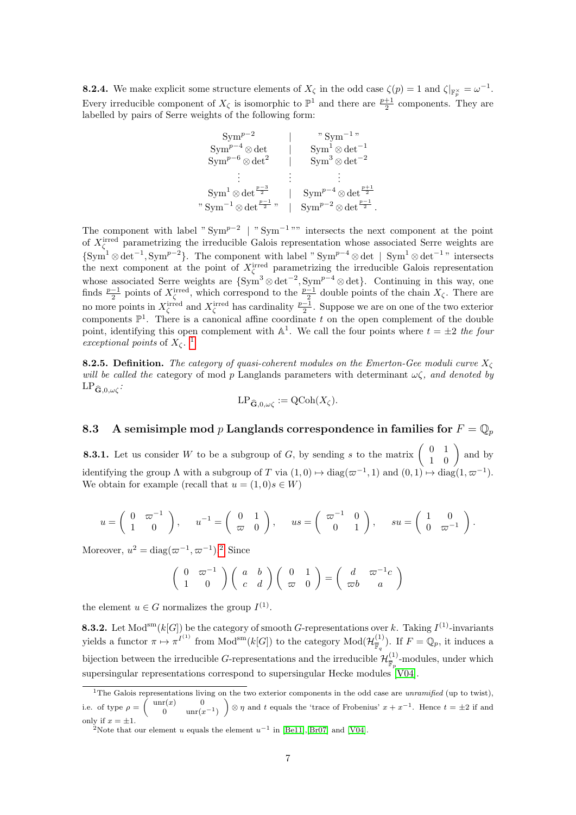<span id="page-6-4"></span>**8.2.4.** We make explicit some structure elements of  $X_{\zeta}$  in the odd case  $\zeta(p) = 1$  and  $\zeta|_{\mathbb{F}_p^{\times}} = \omega^{-1}$ . Every irreducible component of  $X_{\zeta}$  is isomorphic to  $\mathbb{P}^{1}$  and there are  $\frac{p+1}{2}$  components. They are labelled by pairs of Serre weights of the following form:

| $Sym^{p-2}$<br>$Sym^{p-4} \otimes \det$<br>$\mathrm{Sym}^{p-6} \otimes \mathrm{det}^2$ | " $Sym^{-1}$ "<br>$Sym^1 \otimes det^{-1}$<br>$Sym^3 \otimes det^{-2}$ |
|----------------------------------------------------------------------------------------|------------------------------------------------------------------------|
|                                                                                        |                                                                        |
| $Sym^1 \otimes \det^{\frac{p-3}{2}}$                                                   | $Sym^{p-4} \otimes \det^{\frac{p+1}{2}}$                               |
| " $\mathrm{Sym}^{-1}\otimes\mathrm{det}^{\frac{p-1}{2}}$ "                             | $Sym^{p-2} \otimes \det^{\frac{p-1}{2}}$ .                             |

The component with label " $\text{Sym}^{p-2}$  | " $\text{Sym}^{-1}$ "" intersects the next component at the point of  $X_{\zeta}^{\text{irred}}$  parametrizing the irreducible Galois representation whose associated Serre weights are  $\{\text{Sym}^1 \otimes \det^{-1}, \text{Sym}^{p-2}\}\.$  The component with label " $\text{Sym}^{p-4} \otimes \det | \text{Sym}^1 \otimes \det^{-1}$ " intersects the next component at the point of  $X_{\zeta}^{\text{irred}}$  parametrizing the irreducible Galois representation whose associated Serre weights are  $\{\text{Sym}^3 \otimes \det^{-2}, \text{Sym}^{p-4} \otimes \det\}$ . Continuing in this way, one finds  $\frac{p-1}{2}$  points of  $X_{\zeta}^{\text{irred}}$ , which correspond to the  $\frac{p-1}{2}$  double points of the chain  $X_{\zeta}$ . There are no more points in  $X_{\zeta}^{\text{irred}}$  and  $X_{\zeta}^{\text{irred}}$  has cardinality  $\frac{p-1}{2}$ . Suppose we are on one of the two exterior components  $\mathbb{P}^1$ . There is a canonical affine coordinate t on the open complement of the double point, identifying this open complement with  $\mathbb{A}^1$ . We call the four points where  $t = \pm 2$  the four exceptional points of  $X_{\zeta}$ .<sup>[1](#page-6-1)</sup>

<span id="page-6-5"></span>**8.2.5. Definition.** The category of quasi-coherent modules on the Emerton-Gee moduli curve  $X_{\zeta}$ will be called the category of mod p Langlands parameters with determinant  $\omega\zeta$ , and denoted by  $LP_{\widehat{\mathbf{G}},0,\omega\zeta}$ :

$$
\operatorname{LP}_{\widehat{\mathbf{G}},0,\omega \zeta}:=\operatorname{QCoh}(X_\zeta).
$$

<span id="page-6-0"></span>8.3 A semisimple mod p Langlands correspondence in families for  $F = \mathbb{Q}_p$ 

**8.3.1.** Let us consider W to be a subgroup of G, by sending s to the matrix  $\begin{pmatrix} 0 & 1 \\ 1 & 0 \end{pmatrix}$  and by identifying the group  $\Lambda$  with a subgroup of T via  $(1,0) \mapsto diag(\varpi^{-1},1)$  and  $(0,1) \mapsto diag(1,\varpi^{-1})$ . We obtain for example (recall that  $u = (1,0)s \in W$ )

$$
u = \begin{pmatrix} 0 & \varpi^{-1} \\ 1 & 0 \end{pmatrix}, \quad u^{-1} = \begin{pmatrix} 0 & 1 \\ \varpi & 0 \end{pmatrix}, \quad us = \begin{pmatrix} \varpi^{-1} & 0 \\ 0 & 1 \end{pmatrix}, \quad su = \begin{pmatrix} 1 & 0 \\ 0 & \varpi^{-1} \end{pmatrix}.
$$

Moreover,  $u^2 = \text{diag}(\varpi^{-1}, \varpi^{-1})$  $u^2 = \text{diag}(\varpi^{-1}, \varpi^{-1})$  $u^2 = \text{diag}(\varpi^{-1}, \varpi^{-1})$ .<sup>2</sup> Since

$$
\left(\begin{array}{cc} 0 & \varpi^{-1} \\ 1 & 0 \end{array}\right) \left(\begin{array}{cc} a & b \\ c & d \end{array}\right) \left(\begin{array}{cc} 0 & 1 \\ \varpi & 0 \end{array}\right) = \left(\begin{array}{cc} d & \varpi^{-1}c \\ \varpi b & a \end{array}\right)
$$

the element  $u \in G$  normalizes the group  $I^{(1)}$ .

<span id="page-6-3"></span>**8.3.2.** Let Mod<sup>sm</sup>(k[G]) be the category of smooth G-representations over k. Taking  $I^{(1)}$ -invariants yields a functor  $\pi \mapsto {\pi}^{I^{(1)}}$  from  $Mod^{sm}(k[G])$  to the category  $Mod(\mathcal{H}_{\overline{m}}^{(1)})$  $(\frac{1}{\mathbb{F}_q})$ . If  $F = \mathbb{Q}_p$ , it induces a bijection between the irreducible G-representations and the irreducible  $\mathcal{H}_{\overline{n}}^{(1)}$  $\frac{N^{(1)}}{\mathbb{F}_p}$ -modules, under which supersingular representations correspond to supersingular Hecke modules [\[V04\]](#page-22-2).

<span id="page-6-1"></span><sup>&</sup>lt;sup>1</sup>The Galois representations living on the two exterior components in the odd case are *unramified* (up to twist), i.e. of type  $\rho = \begin{pmatrix} \text{unr}(x) & 0 \\ 0 & \text{unr}(x) \end{pmatrix}$ 0  $unr(x^{-1})$  $\Big) \otimes \eta$  and t equals the 'trace of Frobenius'  $x + x^{-1}$ . Hence  $t = \pm 2$  if and only if  $x = \pm 1$ .

<span id="page-6-2"></span><sup>&</sup>lt;sup>2</sup>Note that our element u equals the element  $u^{-1}$  in [\[Be11\]](#page-21-4),[\[Br07\]](#page-21-5) and [\[V04\]](#page-22-2).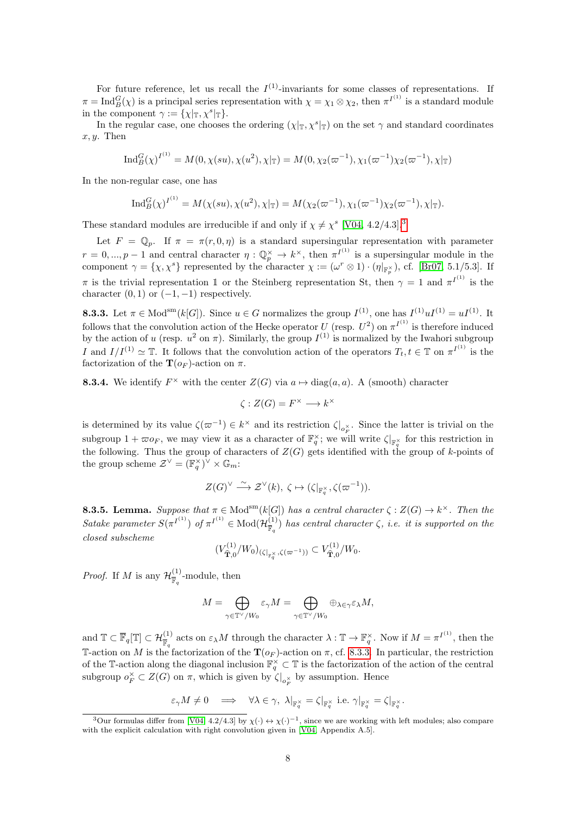For future reference, let us recall the  $I^{(1)}$ -invariants for some classes of representations. If  $\pi = \text{Ind}_{B}^{G}(\chi)$  is a principal series representation with  $\chi = \chi_1 \otimes \chi_2$ , then  $\pi^{I^{(1)}}$  is a standard module in the component  $\gamma := {\{\chi|\text{I}, \chi^s|\text{I}\}}.$ 

In the regular case, one chooses the ordering  $(\chi|_{\mathbb{T}}, \chi^s|_{\mathbb{T}})$  on the set  $\gamma$  and standard coordinates  $x, y$ . Then

$$
\operatorname{Ind}_{B}^{G}(\chi)^{I^{(1)}} = M(0, \chi(su), \chi(u^{2}), \chi|_{\mathbb{T}}) = M(0, \chi_{2}(\varpi^{-1}), \chi_{1}(\varpi^{-1})\chi_{2}(\varpi^{-1}), \chi|_{\mathbb{T}})
$$

In the non-regular case, one has

$$
\operatorname{Ind}_{B}^{G}(\chi)^{I^{(1)}} = M(\chi(su), \chi(u^{2}), \chi|\mathbf{t}) = M(\chi_{2}(\varpi^{-1}), \chi_{1}(\varpi^{-1})\chi_{2}(\varpi^{-1}), \chi|\mathbf{t}).
$$

These standard modules are irreducible if and only if  $\chi \neq \chi^s$  [\[V04,](#page-22-2) 4.2/4.[3](#page-7-0)].<sup>3</sup>

Let  $F = \mathbb{Q}_p$ . If  $\pi = \pi(r, 0, \eta)$  is a standard supersingular representation with parameter  $r=0,...,p-1$  and central character  $\eta: \mathbb{Q}_p^{\times} \to k^{\times}$ , then  $\pi^{I^{(1)}}$  is a supersingular module in the component  $\gamma = {\{\chi, \chi^s\}}$  represented by the character  $\chi := (\omega^r \otimes 1) \cdot (\eta|_{\mathbb{F}_p^{\times}})$ , cf. [\[Br07,](#page-21-5) 5.1/5.3]. If  $\pi$  is the trivial representation 1 or the Steinberg representation St, then  $\gamma = 1$  and  $\pi^{I^{(1)}}$  is the character  $(0, 1)$  or  $(-1, -1)$  respectively.

<span id="page-7-1"></span>**8.3.3.** Let  $\pi \in \text{Mod}^{\text{sm}}(k[G])$ . Since  $u \in G$  normalizes the group  $I^{(1)}$ , one has  $I^{(1)}uI^{(1)} = uI^{(1)}$ . It follows that the convolution action of the Hecke operator U (resp.  $U^2$ ) on  $\pi^{I^{(1)}}$  is therefore induced by the action of u (resp.  $u^2$  on  $\pi$ ). Similarly, the group  $I^{(1)}$  is normalized by the Iwahori subgroup I and  $I/I^{(1)} \simeq \mathbb{T}$ . It follows that the convolution action of the operators  $T_t, t \in \mathbb{T}$  on  $\pi^{I^{(1)}}$  is the factorization of the  $\mathbf{T}(o_F)$ -action on  $\pi$ .

<span id="page-7-2"></span>**8.3.4.** We identify  $F^{\times}$  with the center  $Z(G)$  via  $a \mapsto diag(a, a)$ . A (smooth) character

$$
\zeta : Z(G) = F^{\times} \longrightarrow k^{\times}
$$

is determined by its value  $\zeta(\varpi^{-1}) \in k^{\times}$  and its restriction  $\zeta|_{o_F^{\times}}$ . Since the latter is trivial on the subgroup  $1 + \varpi o_F$ , we may view it as a character of  $\mathbb{F}_q^{\times}$ ; we will write  $\zeta|_{\mathbb{F}_q^{\times}}$  for this restriction in the following. Thus the group of characters of  $Z(G)$  gets identified with the group of k-points of the group scheme  $\mathcal{Z}^{\vee} = (\mathbb{F}_q^{\times})^{\vee} \times \mathbb{G}_m$ :

$$
Z(G)^{\vee} \stackrel{\sim}{\longrightarrow} \mathcal{Z}^{\vee}(k), \ \zeta \mapsto (\zeta|_{\mathbb{F}_q^{\times}}, \zeta(\varpi^{-1})).
$$

<span id="page-7-3"></span>**8.3.5. Lemma.** Suppose that  $\pi \in Mod^{\text{sm}}(k[G])$  has a central character  $\zeta : Z(G) \to k^{\times}$ . Then the Satake parameter  $S(\pi^{I^{(1)}})$  of  $\pi^{I^{(1)}} \in Mod(\mathcal{H}_{\overline{\mathbb{R}}}^{(1)})$  $\frac{f^{(1)}}{\mathbb{F}_q}$  has central character  $\zeta$ , i.e. it is supported on the closed subscheme

$$
(V_{\widehat{\mathbf{T}},0}^{(1)}/W_0)_{(\zeta|_{\mathbb{F}_q^{\times}},\zeta(\varpi^{-1}))} \subset V_{\widehat{\mathbf{T}},0}^{(1)}/W_0.
$$

*Proof.* If M is any  $\mathcal{H}^{(1)}_{\overline{x}}$  $\frac{1}{\mathbb{F}_q}$ -module, then

$$
M=\bigoplus_{\gamma\in\mathbb{T}^\vee/W_0}\varepsilon_\gamma M=\bigoplus_{\gamma\in\mathbb{T}^\vee/W_0}\oplus_{\lambda\in\gamma}\varepsilon_\lambda M,
$$

and  $\mathbb{T} \subset \overline{\mathbb{F}}_q[\mathbb{T}] \subset \mathcal{H}_{\overline{\mathbb{F}}_q}^{(1)}$  acts on  $\varepsilon_\lambda M$  through the character  $\lambda : \mathbb{T} \to \mathbb{F}_q^\times$ . Now if  $M = \pi^{I^{(1)}}$ , then the T-action on M is the factorization of the  $\mathbf{T}(o_F)$ -action on  $\pi$ , cf. [8.3.3.](#page-7-1) In particular, the restriction of the T-action along the diagonal inclusion  $\mathbb{F}_q^{\times} \subset \mathbb{T}$  is the factorization of the action of the central subgroup  $o_F^{\times} \subset Z(G)$  on  $\pi$ , which is given by  $\zeta|_{o_F^{\times}}$  by assumption. Hence

$$
\varepsilon_\gamma M \neq 0 \quad \Longrightarrow \quad \forall \lambda \in \gamma, \ \lambda|_{\mathbb{F}_q^\times} = \zeta|_{\mathbb{F}_q^\times} \text{ i.e. } \gamma|_{\mathbb{F}_q^\times} = \zeta|_{\mathbb{F}_q^\times}.
$$

<span id="page-7-0"></span><sup>&</sup>lt;sup>3</sup>Our formulas differ from [\[V04,](#page-22-2) 4.2/4.3] by  $\chi(\cdot) \leftrightarrow \chi(\cdot)^{-1}$ , since we are working with left modules; also compare with the explicit calculation with right convolution given in [\[V04,](#page-22-2) Appendix A.5].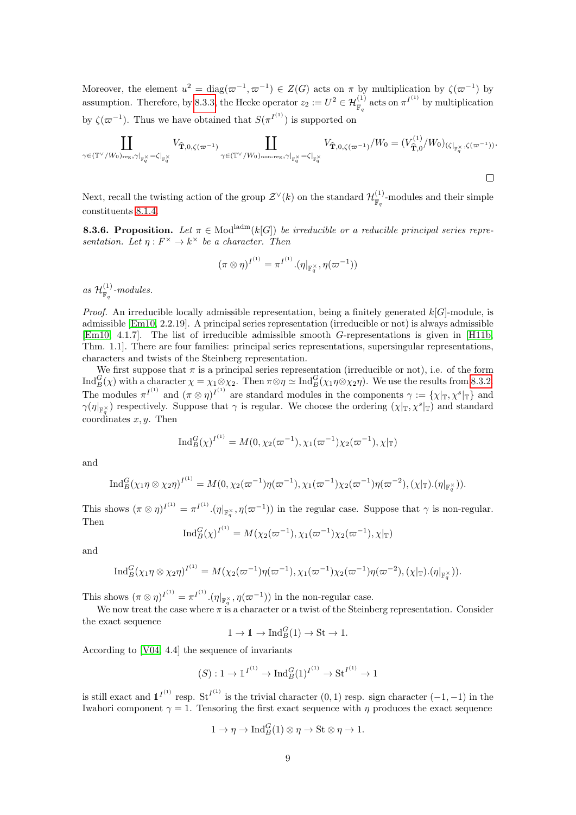Moreover, the element  $u^2 = \text{diag}(\varpi^{-1}, \varpi^{-1}) \in Z(G)$  acts on  $\pi$  by multiplication by  $\zeta(\varpi^{-1})$  by assumption. Therefore, by [8.3.3,](#page-7-1) the Hecke operator  $z_2 := U^2 \in \mathcal{H}_{\mathbb{F}_q}^{(1)}$  acts on  $\pi^{I^{(1)}}$  by multiplication by  $\zeta(\varpi^{-1})$ . Thus we have obtained that  $S(\pi^{I^{(1)}})$  is supported on

$$
\coprod_{\gamma \in (\mathbb{T}^\vee/W_0)_{\text{reg}}, \gamma|_{\mathbb{F}_q^\times} = \zeta|_{\mathbb{F}_q^\times}} V_{\widehat{\mathbf{T}}, 0, \zeta(\varpi^{-1})} \coprod_{\gamma \in (\mathbb{T}^\vee/W_0)_{\text{non-reg}}, \gamma|_{\mathbb{F}_q^\times} = \zeta|_{\mathbb{F}_q^\times}} V_{\widehat{\mathbf{T}}, 0, \zeta(\varpi^{-1})}/W_0 = (V_{\widehat{\mathbf{T}}, 0}^{(1)}/W_0)_{(\zeta|_{\mathbb{F}_q^\times}, \zeta(\varpi^{-1}))}.
$$

Next, recall the twisting action of the group  $\mathcal{Z}^{\vee}(k)$  on the standard  $\mathcal{H}^{(1)}_{\overline{n}}$  $\frac{(\mathbf{L})}{\overline{\mathbb{F}}_q}$ -modules and their simple constituents [8.1.4.](#page-3-1)

<span id="page-8-0"></span>**8.3.6. Proposition.** Let  $\pi \in Mod^{ladm}(k[G])$  be irreducible or a reducible principal series representation. Let  $\eta: F^\times \to k^\times$  be a character. Then

$$
(\pi \otimes \eta)^{I^{(1)}} = \pi^{I^{(1)}} . (\eta|_{\mathbb{F}_q^{\times}}, \eta(\varpi^{-1}))
$$

as  $\mathcal{H}^{(1)}_{\overline{w}}$  $\frac{1}{\mathbb{F}_q}$ -modules.

*Proof.* An irreducible locally admissible representation, being a finitely generated  $k[G]$ -module, is admissible [\[Em10,](#page-21-6) 2.2.19]. A principal series representation (irreducible or not) is always admissible [\[Em10,](#page-21-6) 4.1.7]. The list of irreducible admissible smooth G-representations is given in [\[H11b,](#page-22-3) Thm. 1.1]. There are four families: principal series representations, supersingular representations, characters and twists of the Steinberg representation.

We first suppose that  $\pi$  is a principal series representation (irreducible or not), i.e. of the form  $\text{Ind}_{B}^{G}(\chi)$  with a character  $\chi = \chi_{1} \otimes \chi_{2}$ . Then  $\pi \otimes \eta \simeq \text{Ind}_{B}^{G}(\chi_{1} \eta \otimes \chi_{2} \eta)$ . We use the results from [8.3.2.](#page-6-3) The modules  $\pi^{I^{(1)}}$  and  $(\pi \otimes \eta)^{I^{(1)}}$  are standard modules in the components  $\gamma := {\{\chi|\text{T}, \chi^s|\text{T}}\}$  and  $\gamma(\eta|_{\mathbb{F}_q^{\times}})$  respectively. Suppose that  $\gamma$  is regular. We choose the ordering  $(\chi|_{\mathbb{T}}, \chi^s|_{\mathbb{T}})$  and standard coordinates  $x, y$ . Then

$$
\operatorname{Ind}_{B}^{G}(\chi)^{I^{(1)}} = M(0, \chi_{2}(\varpi^{-1}), \chi_{1}(\varpi^{-1})\chi_{2}(\varpi^{-1}), \chi_{|\mathbb{T}})
$$

and

$$
\operatorname{Ind}_{B}^{G}(\chi_{1}\eta\otimes\chi_{2}\eta)^{I^{(1)}}=M(0,\chi_{2}(\varpi^{-1})\eta(\varpi^{-1}),\chi_{1}(\varpi^{-1})\chi_{2}(\varpi^{-1})\eta(\varpi^{-2}),(\chi|_{\mathbb{T}}).(\eta|_{\mathbb{F}_{q}^{\times}})).
$$

This shows  $(\pi \otimes \eta)^{I^{(1)}} = \pi^{I^{(1)}} \cdot (\eta|_{\mathbb{F}_q^{\times}}, \eta(\varpi^{-1}))$  in the regular case. Suppose that  $\gamma$  is non-regular. Then

$$
\operatorname{Ind}_{B}^{G}(\chi)^{I^{(1)}} = M(\chi_{2}(\varpi^{-1}), \chi_{1}(\varpi^{-1})\chi_{2}(\varpi^{-1}), \chi|_{\mathbb{T}})
$$

and

$$
\operatorname{Ind}_{B}^{G}(\chi_{1}\eta\otimes\chi_{2}\eta)^{I^{(1)}}=M(\chi_{2}(\varpi^{-1})\eta(\varpi^{-1}),\chi_{1}(\varpi^{-1})\chi_{2}(\varpi^{-1})\eta(\varpi^{-2}),(\chi|_{\mathbb{T}}).(\eta|_{\mathbb{F}_{q}^{\times}})).
$$

This shows  $(\pi \otimes \eta)^{I^{(1)}} = \pi^{I^{(1)}} \cdot (\eta|_{\mathbb{F}_q^{\times}}, \eta(\varpi^{-1}))$  in the non-regular case.

We now treat the case where  $\pi$  is a character or a twist of the Steinberg representation. Consider the exact sequence

 $1 \to \mathbb{1} \to \text{Ind}_{B}^{G}(1) \to \text{St} \to 1.$ 

According to [\[V04,](#page-22-2) 4.4] the sequence of invariants

$$
(S): 1 \to \mathbb{1}^{I^{(1)}} \to \mathrm{Ind}_{B}^{G}(1)^{I^{(1)}} \to \mathrm{St}^{I^{(1)}} \to 1
$$

is still exact and  $1^{I^{(1)}}$  resp. St<sup>I<sup>(1)</sup> is the trivial character (0, 1) resp. sign character (-1, -1) in the</sup> Iwahori component  $\gamma = 1$ . Tensoring the first exact sequence with  $\eta$  produces the exact sequence

$$
1 \to \eta \to \mathrm{Ind}_{B}^{G}(1) \otimes \eta \to \mathrm{St} \otimes \eta \to 1.
$$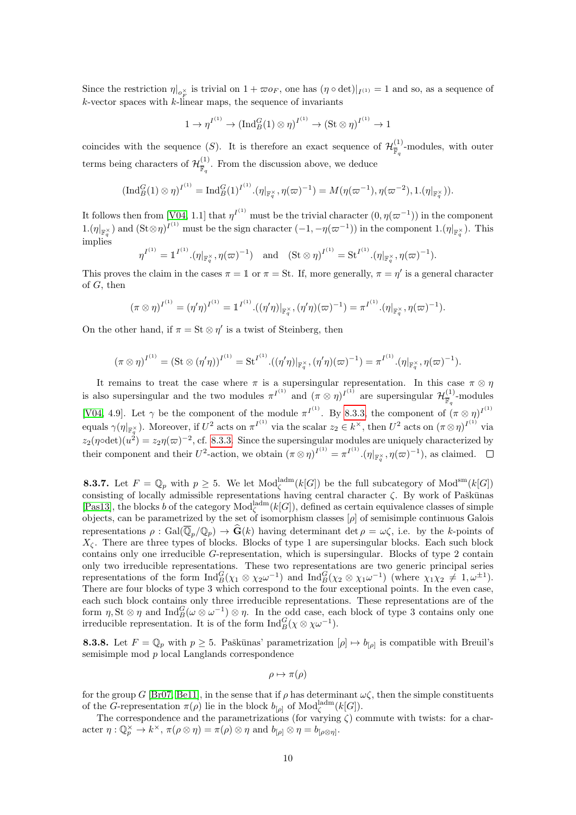Since the restriction  $\eta|_{o_F^{\times}}$  is trivial on  $1 + \varpi o_F$ , one has  $(\eta \circ \det)|_{I^{(1)}} = 1$  and so, as a sequence of  $k$ -vector spaces with  $k$ -linear maps, the sequence of invariants

$$
1 \to \eta^{I^{(1)}} \to (\text{Ind}_B^G(1) \otimes \eta)^{I^{(1)}} \to (\text{St} \otimes \eta)^{I^{(1)}} \to 1
$$

coincides with the sequence (S). It is therefore an exact sequence of  $\mathcal{H}_{\overline{n}}^{(1)}$  $\overline{\mathbb{F}}_q$ -modules, with outer terms being characters of  $\mathcal{H}^{(1)}_{\overline{m}}$  $\frac{N^{(1)}}{\mathbb{F}_q}$ . From the discussion above, we deduce

$$
(\text{Ind}_{B}^{G}(1) \otimes \eta)^{I^{(1)}} = \text{Ind}_{B}^{G}(1)^{I^{(1)}} \cdot (\eta|_{\mathbb{F}_{q}^{\times}}, \eta(\varpi)^{-1}) = M(\eta(\varpi^{-1}), \eta(\varpi^{-2}), 1.(\eta|_{\mathbb{F}_{q}^{\times}})).
$$

It follows then from [\[V04,](#page-22-2) 1.1] that  $\eta^{I^{(1)}}$  must be the trivial character  $(0, \eta(\varpi^{-1}))$  in the component  $1.(\eta|_{\mathbb{F}_q^{\times}})$  and  $(\text{St}\otimes\eta)^{I^{(1)}}$  must be the sign character  $(-1, -\eta(\varpi^{-1}))$  in the component  $1.(\eta|_{\mathbb{F}_q^{\times}})$ . This implies

$$
\eta^{I^{(1)}} = \mathbb{1}^{I^{(1)}} \cdot (\eta|_{\mathbb{F}_q^{\times}}, \eta(\varpi)^{-1})
$$
 and  $(\text{St} \otimes \eta)^{I^{(1)}} = \text{St}^{I^{(1)}} \cdot (\eta|_{\mathbb{F}_q^{\times}}, \eta(\varpi)^{-1}).$ 

This proves the claim in the cases  $\pi = 1$  or  $\pi =$  St. If, more generally,  $\pi = \eta'$  is a general character of G, then

$$
(\pi \otimes \eta)^{I^{(1)}} = (\eta' \eta)^{I^{(1)}} = \mathbb{1}^{I^{(1)}} \cdot ((\eta' \eta)|_{\mathbb{F}_q^{\times}}, (\eta' \eta)(\varpi)^{-1}) = \pi^{I^{(1)}} \cdot (\eta|_{\mathbb{F}_q^{\times}}, \eta(\varpi)^{-1}).
$$

On the other hand, if  $\pi = \text{St} \otimes \eta'$  is a twist of Steinberg, then

$$
(\pi \otimes \eta)^{I^{(1)}} = (\mathrm{St} \otimes (\eta' \eta))^{I^{(1)}} = {\mathrm{St}}^{I^{(1)}} \cdot ((\eta' \eta)|_{\mathbb{F}_q^{\times}}, (\eta' \eta)(\varpi)^{-1}) = \pi^{I^{(1)}} \cdot (\eta|_{\mathbb{F}_q^{\times}}, \eta(\varpi)^{-1}).
$$

It remains to treat the case where  $\pi$  is a supersingular representation. In this case  $\pi \otimes \eta$ is also supersingular and the two modules  $\pi^{I^{(1)}}$  and  $(\pi \otimes \eta)^{I^{(1)}}$  are supersingular  $\mathcal{H}_{\overline{n}}^{(1)}$  $\frac{1}{\mathbb{F}_q}$ -modules [\[V04,](#page-22-2) 4.9]. Let  $\gamma$  be the component of the module  $\pi^{I^{(1)}}$ . By [8.3.3,](#page-7-1) the component of  $(\pi \otimes \eta)^{I^{(1)}}$ equals  $\gamma(\eta|_{\mathbb{F}_q^{\times}})$ . Moreover, if  $U^2$  acts on  $\pi^{I^{(1)}}$  via the scalar  $z_2 \in k^{\times}$ , then  $U^2$  acts on  $(\pi \otimes \eta)^{I^{(1)}}$  via  $z_2(\eta \circ \det)(u^2) = z_2 \eta(\varpi)^{-2}$ , cf. [8.3.3.](#page-7-1) Since the supersingular modules are uniquely characterized by their component and their  $U^2$ -action, we obtain  $(\pi \otimes \eta)^{I^{(1)}} = {\pi^{I^{(1)}}}.(\eta|_{\mathbb{F}_q^{\times}}, \eta(\varpi)^{-1})$ , as claimed.

<span id="page-9-0"></span>**8.3.7.** Let  $F = \mathbb{Q}_p$  with  $p \geq 5$ . We let  $\text{Mod}_{\zeta}^{\text{ladm}}(k[G])$  be the full subcategory of  $\text{Mod}^{\text{sm}}(k[G])$ consisting of locally admissible representations having central character  $\zeta$ . By work of Paškūnas [\[Pas13\]](#page-22-1), the blocks b of the category  $Mod_{\zeta}^{\text{ladm}}(k[G])$ , defined as certain equivalence classes of simple objects, can be parametrized by the set of isomorphism classes  $[\rho]$  of semisimple continuous Galois representations  $\rho : \text{Gal}(\overline{\mathbb{Q}}_p/\mathbb{Q}_p) \to \widehat{\mathbf{G}}(k)$  having determinant det  $\rho = \omega \zeta$ , i.e. by the k-points of  $X_{\zeta}$ . There are three types of blocks. Blocks of type 1 are supersingular blocks. Each such block contains only one irreducible G-representation, which is supersingular. Blocks of type 2 contain only two irreducible representations. These two representations are two generic principal series representations of the form  $\text{Ind}_{B}^{G}(\chi_{1} \otimes \chi_{2}\omega^{-1})$  and  $\text{Ind}_{B}^{G}(\chi_{2} \otimes \chi_{1}\omega^{-1})$  (where  $\chi_{1}\chi_{2} \neq 1, \omega^{\pm 1}$ ). There are four blocks of type 3 which correspond to the four exceptional points. In the even case, each such block contains only three irreducible representations. These representations are of the form  $\eta$ , St  $\otimes \eta$  and  $\text{Ind}_{B}^{G}(\omega \otimes \omega^{-1}) \otimes \eta$ . In the odd case, each block of type 3 contains only one irreducible representation. It is of the form  $\text{Ind}_{B}^{G}(\chi \otimes \chi \omega^{-1}).$ 

<span id="page-9-1"></span>**8.3.8.** Let  $F = \mathbb{Q}_p$  with  $p \ge 5$ . Paškūnas' parametrization  $[\rho] \mapsto b_{[\rho]}$  is compatible with Breuil's semisimple mod p local Langlands correspondence

$$
\rho \mapsto \pi(\rho)
$$

for the group G [\[Br07,](#page-21-5) [Be11\]](#page-21-4), in the sense that if  $\rho$  has determinant  $\omega \zeta$ , then the simple constituents of the G-representation  $\pi(\rho)$  lie in the block  $b_{[\rho]}$  of  $\text{Mod}_{\zeta}^{\text{ladm}}(k[G])$ .

The correspondence and the parametrizations (for varying  $\zeta$ ) commute with twists: for a character  $\eta: \mathbb{Q}_p^{\times} \to k^{\times}$ ,  $\pi(\rho \otimes \eta) = \pi(\rho) \otimes \eta$  and  $b_{[\rho]} \otimes \eta = b_{[\rho \otimes \eta]}$ .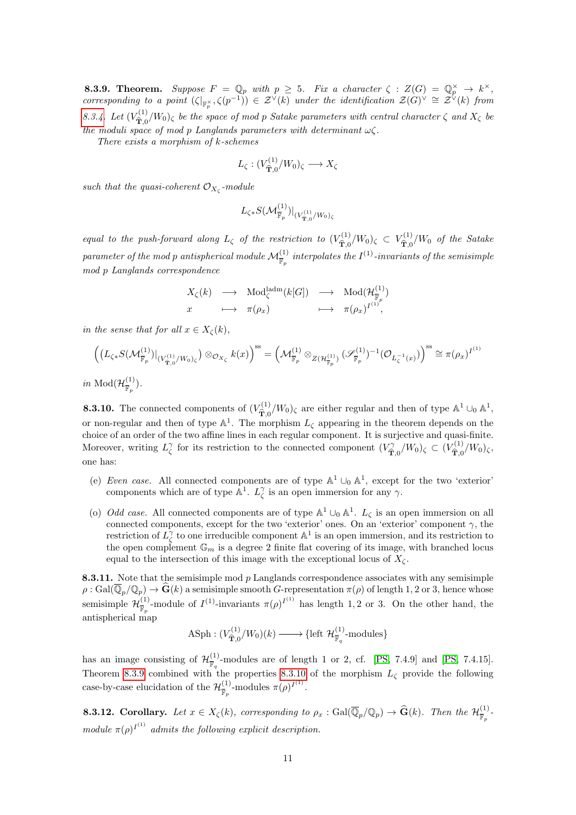<span id="page-10-0"></span>**8.3.9. Theorem.** Suppose  $F = \mathbb{Q}_p$  with  $p \geq 5$ . Fix a character  $\zeta : Z(G) = \mathbb{Q}_p^{\times} \to k^{\times}$ , corresponding to a point  $(\zeta|_{\mathbb{F}_p^{\times}}, \zeta(p^{-1})) \in \mathcal{Z}^{\vee}(k)$  under the identification  $\mathcal{Z}(G)^{\vee} \cong \mathcal{Z}^{\vee}(k)$  from [8.3.4.](#page-7-2) Let  $(V_{\widehat{\mathbf{m}}_{\geq 0}}^{(1)}$  $(\hat{\mathbf{T}}_{\mathcal{D}}^{(1)}/W_0)$ <sub> $\zeta$ </sub> be the space of mod p Satake parameters with central character  $\zeta$  and  $X_{\zeta}$  be the moduli space of mod p Langlands parameters with determinant  $\omega \zeta$ .

There exists a morphism of k-schemes

$$
L_{\zeta}: (V_{\widehat{\mathbf{T}},0}^{(1)}/W_0)_{\zeta} \longrightarrow X_{\zeta}
$$

such that the quasi-coherent  $\mathcal{O}_{X_{\zeta}}$ -module

$$
L_{\zeta*}S(\mathcal M^{(1)}_{\overline{\mathbb F}_p})|_{(V^{(1)}_{\hat{\mathbf T},0}/W_0)_{\zeta}}
$$

equal to the push-forward along  $L_{\zeta}$  of the restriction to  $(V_{\hat{\mathbf{T}}_0}^{(1)})$  $V^{(1)}_{\widehat{\mathbf{T}},0}/W_{0})_{\zeta} \ \subset \ V^{(1)}_{\widehat{\mathbf{T}},0}$  $\hat{\tau}_{0}^{(1)}/W_0$  of the Satake  $parameter\ of\ the\ mod\ p\ antispherical\ module\ \mathcal{M}_{\overline{\mathbb{F}}_p}^{(1)}\ interpolates\ the\ I^{(1)}\textrm{-invariants\ of\ the\ semisimple}$ mod p Langlands correspondence

$$
\begin{array}{ccc}\nX_{\zeta}(k) & \longrightarrow & \text{Mod}_{\zeta}^{\text{ladm}}(k[G]) & \longrightarrow & \text{Mod}(\mathcal{H}_{\overline{\mathbb{F}}_{p}}^{(1)}) \\
x & \longmapsto & \pi(\rho_{x}) & \longmapsto & \pi(\rho_{x})^{I^{(1)}},\n\end{array}
$$

in the sense that for all  $x \in X_{\zeta}(k)$ ,

$$
\left( \left( L_{\zeta *} S(\mathcal{M}_{\overline{\mathbb{F}}_p}^{(1)}) \big|_{(V_{\hat{\mathbf{T}},0}^{(1)}/W_0)_{\zeta}} \right) \otimes_{\mathcal{O}_{X_{\zeta}}} k(x) \right)^{ss} = \left( \mathcal{M}_{\overline{\mathbb{F}}_p}^{(1)} \otimes_{Z(\mathcal{H}_{\overline{\mathbb{F}}_p}^{(1)})} (\mathcal{S}_{\overline{\mathbb{F}}_p}^{(1)})^{-1} (\mathcal{O}_{L_{\zeta}^{-1}(x)}) \right)^{ss} \cong \pi(\rho_x)^{I^{(1)}}
$$
  
in Mod $(\mathcal{H}_{\overline{\mathbb{F}}_p}^{(1)})$ .

<span id="page-10-1"></span>**8.3.10.** The connected components of  $(V_{\widehat{\mathcal{D}}}^{(1)})$  $\hat{T}_{,\Omega}^{(1)}/W_0$ )<sub> $\zeta$ </sub> are either regular and then of type  $\mathbb{A}^1 \cup_0 \mathbb{A}^1$ , or non-regular and then of type  $\mathbb{A}^1$ . The morphism  $L_{\zeta}$  appearing in the theorem depends on the choice of an order of the two affine lines in each regular component. It is surjective and quasi-finite. Moreover, writing  $L^{\gamma}_{\zeta}$  for its restriction to the connected component  $(V^{\gamma}_{\hat{\mathbf{T}}})$  $\int_{\widehat{\bf T},0}^{\gamma} / W_0 \rvert_{\zeta} \subset (V_{\widehat{\bf T},0}^{(1)})$  $\hat{\hat{\mathbf{T}}}_{0}^{(1)}/W_{0}\right)_{\zeta},$ one has:

- (e) Even case. All connected components are of type  $\mathbb{A}^1 \cup_0 \mathbb{A}^1$ , except for the two 'exterior' components which are of type  $\mathbb{A}^1$ .  $L^{\gamma}_{\zeta}$  is an open immersion for any  $\gamma$ .
- (o) *Odd case*. All connected components are of type  $\mathbb{A}^1 \cup_0 \mathbb{A}^1$ .  $L_{\zeta}$  is an open immersion on all connected components, except for the two 'exterior' ones. On an 'exterior' component  $\gamma$ , the restriction of  $L^{\gamma}_{\zeta}$  to one irreducible component  $\mathbb{A}^{1}$  is an open immersion, and its restriction to the open complement  $\mathbb{G}_m$  is a degree 2 finite flat covering of its image, with branched locus equal to the intersection of this image with the exceptional locus of  $X_{\zeta}$ .

8.3.11. Note that the semisimple mod  $p$  Langlands correspondence associates with any semisimple  $\rho : \text{Gal}(\overline{\mathbb{Q}}_p/\mathbb{Q}_p) \to \widehat{\mathbf{G}}(k)$  a semisimple smooth G-representation  $\pi(\rho)$  of length 1, 2 or 3, hence whose semisimple  $\mathcal{H}_{\overline{x}}^{(1)}$ <sup>(1)</sup>-module of  $I^{(1)}$ -invariants  $\pi(\rho)^{I^{(1)}}$  has length 1,2 or 3. On the other hand, the antispherical map

$$
\text{ASph} : (V_{\widehat{\mathbf{T}},0}^{(1)}/W_0)(k) \longrightarrow \{\text{left } \mathcal{H}_{\overline{\mathbb{F}}_q}^{(1)}\text{-modules}\}
$$

has an image consisting of  $\mathcal{H}^{(1)}_{\overline{n}}$  $\frac{N}{\mathbb{F}_q}$ -modules are of length 1 or 2, cf. [\[PS,](#page-22-0) 7.4.9] and [PS, 7.4.15]. Theorem [8.3.9](#page-10-0) combined with the properties [8.3.10](#page-10-1) of the morphism  $L_{\zeta}$  provide the following case-by-case elucidation of the  $\mathcal{H}^{(1)}_{\overline{n}}$  $\frac{1}{\mathbb{F}_p}$ -modules  $\pi(\rho)^{I^{(1)}}$ .

<span id="page-10-2"></span>**8.3.12.** Corollary. Let  $x \in X_{\zeta}(k)$ , corresponding to  $\rho_x$  :  $Gal(\overline{\mathbb{Q}}_p/\mathbb{Q}_p) \to \widehat{\mathbf{G}}(k)$ . Then the  $\mathcal{H}_{\overline{\mathbb{F}}_p}^{(1)}$  $\frac{1}{\mathbb{F}_p}$  module  $\pi(\rho)^{I^{(1)}}$  admits the following explicit description.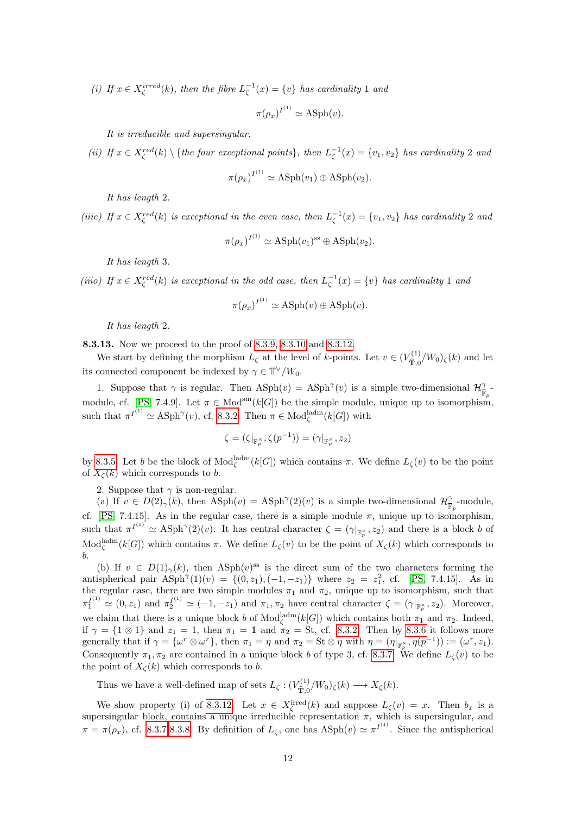(i) If  $x \in X_{\zeta}^{irred}(k)$ , then the fibre  $L_{\zeta}^{-1}(x) = \{v\}$  has cardinality 1 and

$$
\pi(\rho_x)^{I^{(1)}} \simeq \text{ASph}(v).
$$

It is irreducible and supersingular.

(ii) If  $x \in X_{\zeta}^{red}(k) \setminus \{$ the four exceptional points}, then  $L_{\zeta}^{-1}(x) = \{v_1, v_2\}$  has cardinality 2 and

$$
\pi(\rho_x)^{I^{(1)}} \simeq \text{ASph}(v_1) \oplus \text{ASph}(v_2).
$$

It has length 2.

(iiie) If  $x \in X_{\zeta}^{red}(k)$  is exceptional in the even case, then  $L_{\zeta}^{-1}(x) = \{v_1, v_2\}$  has cardinality 2 and

$$
\pi(\rho_x)^{I^{(1)}} \simeq \text{ASph}(v_1)^{\text{ss}} \oplus \text{ASph}(v_2).
$$

It has length 3.

(iiio) If  $x \in X_{\zeta}^{red}(k)$  is exceptional in the odd case, then  $L_{\zeta}^{-1}(x) = \{v\}$  has cardinality 1 and

$$
\pi(\rho_x)^{I^{(1)}} \simeq \text{ASph}(v) \oplus \text{ASph}(v).
$$

It has length 2.

<span id="page-11-0"></span>8.3.13. Now we proceed to the proof of [8.3.9,](#page-10-0) [8.3.10](#page-10-1) and [8.3.12.](#page-10-2)

We start by defining the morphism  $L_{\zeta}$  at the level of k-points. Let  $v \in (V_{\hat{\mathbf{T}}_0}^{(1)})$  $\hat{\mathbf{T}}_{0}^{(1)}/W_{0}$ )<sub> $\zeta$ </sub> $(k)$  and let its connected component be indexed by  $\gamma \in \mathbb{T}^{\vee}/W_0$ .

1. Suppose that  $\gamma$  is regular. Then  $\text{ASph}(v) = \text{ASph}^{\gamma}(v)$  is a simple two-dimensional  $\mathcal{H}_{\overline{v}}^{\gamma}$ . For the module, cf. [\[PS,](#page-22-0) 7.4.9]. Let  $\pi \in Mod^{sm}(k[G])$  be the simple module, unique up to isomorphism, such that  $\pi^{I^{(1)}} \simeq \text{ASph}^{\gamma}(v)$ , cf. [8.3.2.](#page-6-3) Then  $\pi \in \text{Mod}_{\zeta}^{\text{ladm}}(k[G])$  with

$$
\zeta=(\zeta|_{\mathbb{F}_p^\times},\zeta(p^{-1}))=(\gamma|_{\mathbb{F}_p^\times},z_2)
$$

by [8.3.5.](#page-7-3) Let b be the block of  $Mod_{\zeta}^{\text{ladm}}(k[G])$  which contains π. We define  $L_{\zeta}(v)$  to be the point of  $X_{\mathcal{C}}(k)$  which corresponds to b.

2. Suppose that  $\gamma$  is non-regular.

(a) If  $v \in D(2)_{\gamma}(k)$ , then  $\text{Asph}(v) = \text{Asph}^{\gamma}(2)(v)$  is a simple two-dimensional  $\mathcal{H}_{\mathbb{F}_p}^{\gamma}$ -module, cf. [\[PS,](#page-22-0) 7.4.15]. As in the regular case, there is a simple module  $\pi$ , unique up to isomorphism, such that  $\pi^{I^{(1)}} \simeq \text{ASph}^{\gamma}(2)(v)$ . It has central character  $\zeta = (\gamma|_{\mathbb{F}_p^{\times}}, z_2)$  and there is a block b of  $\text{Mod}_{\zeta}^{\text{ladm}}(k[G])$  which contains  $\pi$ . We define  $L_{\zeta}(v)$  to be the point of  $X_{\zeta}(k)$  which corresponds to b.

(b) If  $v \in D(1)_{\gamma}(k)$ , then ASph $(v)$ <sup>ss</sup> is the direct sum of the two characters forming the antispherical pair  $\text{ASph}^{\gamma}(1)(v) = \{(0, z_1), (-1, -z_1)\}\$  where  $z_2 = z_1^2$ , cf. [\[PS,](#page-22-0) 7.4.15]. As in the regular case, there are two simple modules  $\pi_1$  and  $\pi_2$ , unique up to isomorphism, such that  $\pi_1^{I^{(1)}} \simeq (0, z_1)$  and  $\pi_2^{I^{(1)}} \simeq (-1, -z_1)$  and  $\pi_1, \pi_2$  have central character  $\zeta = (\gamma|_{\mathbb{F}_p^{\times}}, z_2)$ . Moreover, we claim that there is a unique block b of  $Mod_{\zeta}^{\mathrm{ladm}}(k[G])$  which contains both  $\pi_1$  and  $\pi_2$ . Indeed, if  $\gamma = \{1 \otimes 1\}$  and  $z_1 = 1$ , then  $\pi_1 = \mathbb{1}$  and  $\pi_2 = \text{St}$ , cf. [8.3.2.](#page-6-3) Then by [8.3.6](#page-8-0) it follows more generally that if  $\gamma = {\omega^r \otimes \omega^r}$ , then  $\pi_1 = \eta$  and  $\pi_2 = \text{St} \otimes \eta$  with  $\eta = (\eta|_{\mathbb{F}_p^{\times}}, \eta(p^{-1})) := (\omega^r, z_1)$ . Consequently  $\pi_1, \pi_2$  are contained in a unique block b of type 3, cf. [8.3.7.](#page-9-0) We define  $L_{\zeta}(v)$  to be the point of  $X_{\zeta}(k)$  which corresponds to b.

Thus we have a well-defined map of sets  $L_{\zeta}$ :  $(V_{\widehat{\mathbf{\hat{m}}}}^{(1)})$  $\hat{T}_{\hat{\mathbf{T}},0}^{(1)}/W_0)_{\zeta}(k) \longrightarrow X_{\zeta}(k).$ 

We show property (i) of [8.3.12.](#page-10-2) Let  $x \in X_{\zeta}^{\text{irred}}(k)$  and suppose  $L_{\zeta}(v) = x$ . Then  $b_x$  is a supersingular block, contains a unique irreducible representation  $\pi$ , which is supersingular, and  $\pi = \pi(\rho_x)$ , cf. [8.3.7-](#page-9-0)[8.3.8.](#page-9-1) By definition of  $L_{\zeta}$ , one has  $\text{ASph}(v) \simeq \pi^{I^{(1)}}$ . Since the antispherical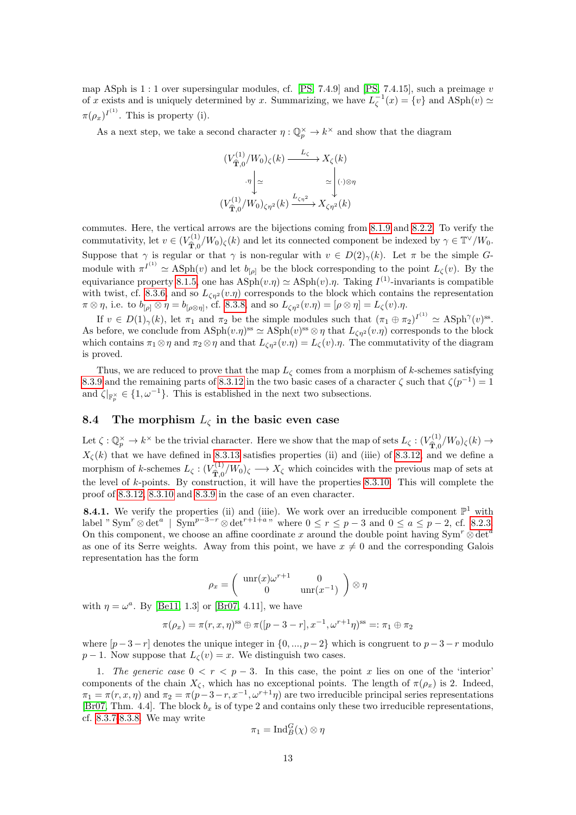map ASph is 1 : 1 over supersingular modules, cf. [\[PS,](#page-22-0) 7.4.9] and [\[PS,](#page-22-0) 7.4.15], such a preimage v of x exists and is uniquely determined by x. Summarizing, we have  $L_{\zeta}^{-1}(x) = \{v\}$  and  $\text{ASph}(v) \simeq$  $\pi(\rho_x)^{I^{(1)}}$ . This is property (i).

As a next step, we take a second character  $\eta: \mathbb{Q}_p^{\times} \to k^{\times}$  and show that the diagram

$$
(V_{\hat{\mathbf{T}},0}^{(1)}/W_0)_{\zeta}(k) \xrightarrow{L_{\zeta}} X_{\zeta}(k)
$$

$$
\cdot \eta \bigg|_{\simeq} \qquad \simeq \bigg| \big(\cdot\big) \otimes \eta
$$

$$
(V_{\hat{\mathbf{T}},0}^{(1)}/W_0)_{\zeta\eta^2}(k) \xrightarrow{L_{\zeta\eta^2}} X_{\zeta\eta^2}(k)
$$

commutes. Here, the vertical arrows are the bijections coming from [8.1.9](#page-4-1) and [8.2.2.](#page-5-1) To verify the commutativity, let  $v \in (V_{\widehat{\mathfrak{m}}})^{\{1\}}$  $(\hat{\mathbf{T}},0/\hat{W}_0)$ <sub> $\zeta(k)$ </sub> and let its connected component be indexed by  $\gamma \in \mathbb{T}^{\vee}/W_0$ . Suppose that  $\gamma$  is regular or that  $\gamma$  is non-regular with  $v \in D(2)_{\gamma}(k)$ . Let  $\pi$  be the simple Gmodule with  $\pi^{I^{(1)}} \simeq \text{ASph}(v)$  and let  $b_{[\rho]}$  be the block corresponding to the point  $L_{\zeta}(v)$ . By the equivariance property [8.1.5,](#page-3-2) one has  $\text{ASph}(v.\eta) \simeq \text{ASph}(v).\eta$ . Taking  $I^{(1)}$ -invariants is compatible with twist, cf. [8.3.6,](#page-8-0) and so  $L_{\zeta n^2}(v.\eta)$  corresponds to the block which contains the representation  $\pi \otimes \eta$ , i.e. to  $b_{[\rho]} \otimes \eta = b_{[\rho \otimes \eta]}$ , cf. [8.3.8,](#page-9-1) and so  $L_{\zeta \eta^2}(v.\eta) = [\rho \otimes \eta] = L_{\zeta}(v).\eta$ .

If  $v \in D(1)_{\gamma}(k)$ , let  $\pi_1$  and  $\pi_2$  be the simple modules such that  $(\pi_1 \oplus \pi_2)^{I^{(1)}} \simeq \text{ASph}^{\gamma}(v)$ <sup>ss</sup>. As before, we conclude from  $\text{ASph}(v.\eta)^\text{ss} \simeq \text{ASph}(v)^\text{ss} \otimes \eta$  that  $L_{\zeta\eta^2}(v.\eta)$  corresponds to the block which contains  $\pi_1 \otimes \eta$  and  $\pi_2 \otimes \eta$  and that  $L_{\zeta \eta^2}(v.\eta) = L_{\zeta}(v).\eta$ . The commutativity of the diagram is proved.

Thus, we are reduced to prove that the map  $L_{\zeta}$  comes from a morphism of k-schemes satisfying [8.3.9](#page-10-0) and the remaining parts of [8.3.12](#page-10-2) in the two basic cases of a character  $\zeta$  such that  $\zeta(p^{-1}) = 1$ and  $\zeta|_{\mathbb{F}_p^{\times}} \in \{1, \omega^{-1}\}.$  This is established in the next two subsections.

#### <span id="page-12-0"></span>8.4 The morphism  $L_{\zeta}$  in the basic even case

Let  $\zeta : \mathbb{Q}_p^{\times} \to k^{\times}$  be the trivial character. Here we show that the map of sets  $L_{\zeta} : (V_{\widehat{\mathbf{T}}^0}^{(1)})$  $\hat{\mathbf{T}}_{0}^{(1)}/W_{0}$ )<sub> $\zeta$ </sub> $(k) \rightarrow$  $X_{\zeta}(k)$  that we have defined in [8.3.13](#page-11-0) satisfies properties (ii) and (iiie) of [8.3.12,](#page-10-2) and we define a morphism of k-schemes  $L_{\zeta}$ :  $(V_{\widehat{\mathbf{T}}_{0}}^{(1)})$  $\hat{T}_{\overline{X}}^{(1)}/W_0$ <sub> $\zeta \longrightarrow X_{\zeta}$ </sub> which coincides with the previous map of sets at the level of k-points. By construction, it will have the properties [8.3.10.](#page-10-1) This will complete the proof of [8.3.12,](#page-10-2) [8.3.10](#page-10-1) and [8.3.9](#page-10-0) in the case of an even character.

<span id="page-12-1"></span>**8.4.1.** We verify the properties (ii) and (iiie). We work over an irreducible component  $\mathbb{P}^1$  with label " $\text{Sym}^r \otimes \det^a \mid \text{Sym}^{p-3-r} \otimes \det^{r+1+a}$ " where  $0 \le r \le p-3$  and  $0 \le a \le p-2$ , cf. [8.2.3.](#page-5-2) On this component, we choose an affine coordinate x around the double point having  $Sym^r \otimes det^a$ as one of its Serre weights. Away from this point, we have  $x \neq 0$  and the corresponding Galois representation has the form

$$
\rho_x = \begin{pmatrix} \operatorname{unr}(x)\omega^{r+1} & 0\\ 0 & \operatorname{unr}(x^{-1}) \end{pmatrix} \otimes \eta
$$

with  $\eta = \omega^a$ . By [\[Be11,](#page-21-4) 1.3] or [\[Br07,](#page-21-5) 4.11], we have

$$
\pi(\rho_x) = \pi(r, x, \eta)^{ss} \oplus \pi([p - 3 - r], x^{-1}, \omega^{r+1}\eta)^{ss} =: \pi_1 \oplus \pi_2
$$

where  $[p-3-r]$  denotes the unique integer in  $\{0, ..., p-2\}$  which is congruent to  $p-3-r$  modulo  $p-1$ . Now suppose that  $L_{\zeta}(v) = x$ . We distinguish two cases.

1. The generic case  $0 < r < p-3$ . In this case, the point x lies on one of the 'interior' components of the chain  $X_{\zeta}$ , which has no exceptional points. The length of  $\pi(\rho_x)$  is 2. Indeed,  $\pi_1 = \pi(r, x, \eta)$  and  $\pi_2 = \pi(p-3-r, x^{-1}, \omega^{r+1}\eta)$  are two irreducible principal series representations [\[Br07,](#page-21-5) Thm. 4.4]. The block  $b_x$  is of type 2 and contains only these two irreducible representations, cf. [8.3.7-](#page-9-0)[8.3.8.](#page-9-1) We may write

$$
\pi_1 = \mathrm{Ind}_B^G(\chi) \otimes \eta
$$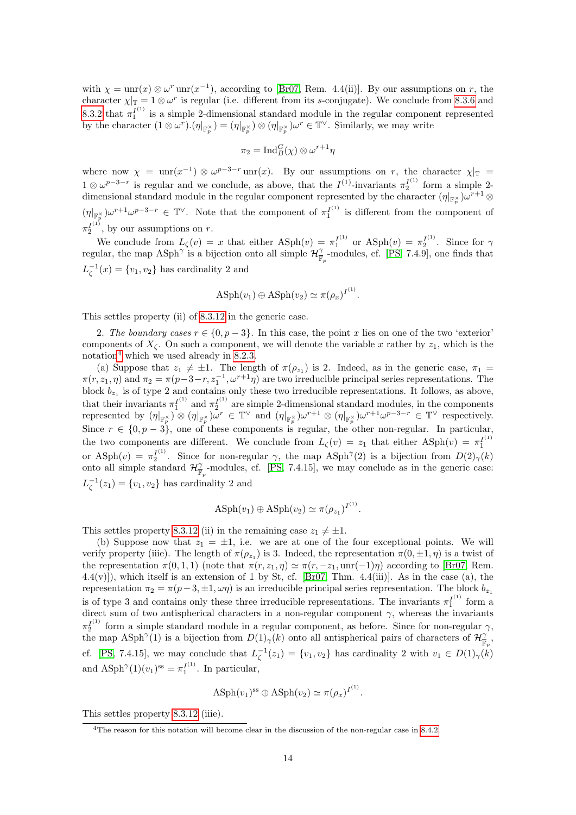with  $\chi = \text{unr}(x) \otimes \omega^r \text{unr}(x^{-1})$ , according to [\[Br07,](#page-21-5) Rem. 4.4(ii)]. By our assumptions on r, the character  $\chi|_{\mathbb{T}} = 1 \otimes \omega^r$  is regular (i.e. different from its s-conjugate). We conclude from [8.3.6](#page-8-0) and [8.3.2](#page-6-3) that  $\pi_1^{I^{(1)}}$  is a simple 2-dimensional standard module in the regular component represented by the character  $(1 \otimes \omega^r) . (\eta|_{\mathbb{F}_p^{\times}}) = (\eta|_{\mathbb{F}_p^{\times}}) \otimes (\eta|_{\mathbb{F}_p^{\times}}) \omega^r \in \mathbb{T}^{\vee}$ . Similarly, we may write

$$
\pi_2 = \mathrm{Ind}_B^G(\chi) \otimes \omega^{r+1} \eta
$$

where now  $\chi = \text{unr}(x^{-1}) \otimes \omega^{p-3-r} \text{unr}(x)$ . By our assumptions on r, the character  $\chi|_{\mathbb{T}} =$  $1 \otimes \omega^{p-3-r}$  is regular and we conclude, as above, that the  $I^{(1)}$ -invariants  $\pi_2^{I^{(1)}}$  form a simple 2dimensional standard module in the regular component represented by the character  $(\eta|_{\mathbb{F}_p^{\times}}) \omega^{r+1} \otimes$  $(\eta|_{\mathbb{F}_n^{\times}})\omega^{r+1}\omega^{p-3-r} \in \mathbb{T}^{\vee}$ . Note that the component of  $\pi_1^{I^{(1)}}$  is different from the component of p  $\pi_2^{I^{(1)}}$ , by our assumptions on r.

We conclude from  $L_{\zeta}(v) = x$  that either  $\text{ASph}(v) = \pi_1^{I^{(1)}}$  or  $\text{ASph}(v) = \pi_2^{I^{(1)}}$ . Since for  $\gamma$ regular, the map  $ASph^{\gamma}$  is a bijection onto all simple  $\mathcal{H}^{\gamma}_{\overline{\mathbb{F}}_p}$  modules, cf. [\[PS,](#page-22-0) 7.4.9], one finds that  $L_{\zeta}^{-1}(x) = \{v_1, v_2\}$  has cardinality 2 and

$$
\text{ASph}(v_1) \oplus \text{ASph}(v_2) \simeq \pi(\rho_x)^{I^{(1)}}.
$$

This settles property (ii) of [8.3.12](#page-10-2) in the generic case.

2. The boundary cases  $r \in \{0, p-3\}$ . In this case, the point x lies on one of the two 'exterior' components of  $X_{\zeta}$ . On such a component, we will denote the variable x rather by  $z_1$ , which is the notation<sup>[4](#page-13-0)</sup> which we used already in [8.2.3.](#page-5-2)

(a) Suppose that  $z_1 \neq \pm 1$ . The length of  $\pi(\rho_{z_1})$  is 2. Indeed, as in the generic case,  $\pi_1 =$  $\pi(r, z_1, \eta)$  and  $\pi_2 = \pi(p-3-r, z_1^{-1}, \omega^{r+1}\eta)$  are two irreducible principal series representations. The block  $b_{z_1}$  is of type 2 and contains only these two irreducible representations. It follows, as above, that their invariants  $\pi_1^{I^{(1)}}$  and  $\pi_2^{I^{(1)}}$  are simple 2-dimensional standard modules, in the components represented by  $(\eta|_{\mathbb{F}_p^{\times}}) \otimes (\eta|_{\mathbb{F}_p^{\times}}) \omega^r \in \mathbb{T}^{\vee}$  and  $(\eta|_{\mathbb{F}_p^{\times}}) \omega^{r+1} \otimes (\eta|_{\mathbb{F}_p^{\times}}) \omega^{r+1} \omega^{p-3-r} \in \mathbb{T}^{\vee}$  respectively. Since  $r \in \{0, p-3\}$ , one of these components is regular, the other non-regular. In particular, the two components are different. We conclude from  $L_{\zeta}(v) = z_1$  that either  $\text{ASph}(v) = \pi_1^{(1)}$ or ASph $(v) = \pi_2^{I^{(1)}}$ . Since for non-regular  $\gamma$ , the map ASph<sup> $\gamma$ </sup>(2) is a bijection from  $D(2)_{\gamma}(k)$ onto all simple standard  $\mathcal{H}_{\overline{\mathbb{F}}_p}^{\gamma}$ -modules, cf. [\[PS,](#page-22-0) 7.4.15], we may conclude as in the generic case:  $L_{\zeta}^{-1}(z_1) = \{v_1, v_2\}$  has cardinality 2 and

$$
\text{ASph}(v_1) \oplus \text{ASph}(v_2) \simeq \pi(\rho_{z_1})^{I^{(1)}}.
$$

This settles property [8.3.12](#page-10-2) (ii) in the remaining case  $z_1 \neq \pm 1$ .

(b) Suppose now that  $z_1 = \pm 1$ , i.e. we are at one of the four exceptional points. We will verify property (iiie). The length of  $\pi(\rho_{z_1})$  is 3. Indeed, the representation  $\pi(0,\pm 1,\eta)$  is a twist of the representation  $\pi(0, 1, 1)$  (note that  $\pi(r, z_1, \eta) \simeq \pi(r, -z_1, \text{unr}(-1)\eta)$ ) according to [\[Br07,](#page-21-5) Rem.  $4.4(v)$ ], which itself is an extension of 1 by St, cf. [\[Br07,](#page-21-5) Thm.  $4.4(iii)$ ]. As in the case (a), the representation  $\pi_2 = \pi(p-3, \pm 1, \omega \eta)$  is an irreducible principal series representation. The block  $b_{z_1}$ is of type 3 and contains only these three irreducible representations. The invariants  $\pi_1^{I^{(1)}}$  form a direct sum of two antispherical characters in a non-regular component  $\gamma$ , whereas the invariants  $\pi_2^{I^{(1)}}$  form a simple standard module in a regular component, as before. Since for non-regular  $\gamma$ , the map  $\text{ASph}^{\gamma}(1)$  is a bijection from  $D(1)_{\gamma}(k)$  onto all antispherical pairs of characters of  $\mathcal{H}_{\mathbb{F}_p}^{\gamma}$ , cf. [\[PS,](#page-22-0) 7.4.15], we may conclude that  $L_{\zeta}^{-1}(z_1) = \{v_1, v_2\}$  has cardinality 2 with  $v_1 \in D(1)_{\gamma}(k)$ and  $\text{ASph}^{\gamma}(1)(v_1)^{ss} = \pi_1^{I^{(1)}}$ . In particular,

$$
\text{ASph}(v_1)^{\text{ss}} \oplus \text{ASph}(v_2) \simeq \pi(\rho_x)^{I^{(1)}}.
$$

This settles property [8.3.12](#page-10-2) (iiie).

<span id="page-13-0"></span><sup>4</sup>The reason for this notation will become clear in the discussion of the non-regular case in [8.4.2.](#page-14-0)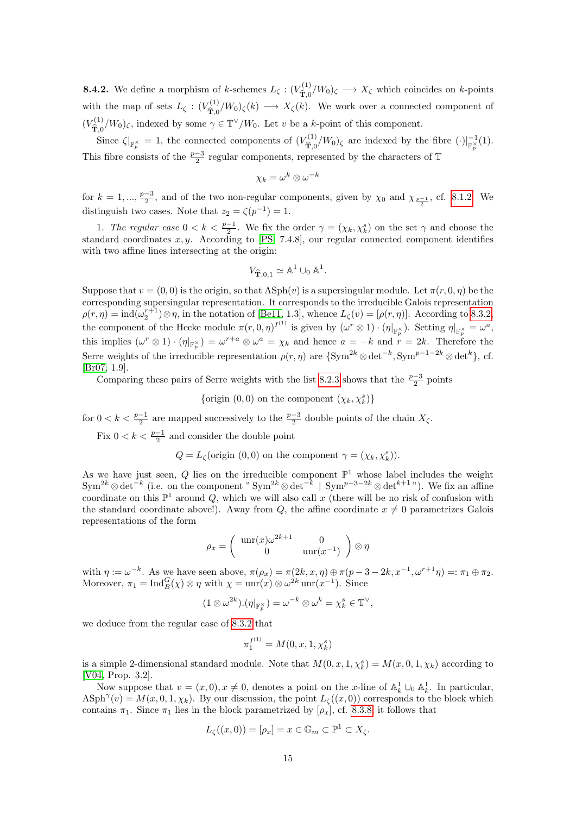<span id="page-14-0"></span>**8.4.2.** We define a morphism of k-schemes  $L_{\zeta}$  :  $(V_{\widehat{\mathbf{T}}_{0}}^{(1)})$  $\hat{T}_{\hat{T},0}^{(1)}/W_0$ )<sub> $\zeta \longrightarrow X_{\zeta}$ </sub> which coincides on k-points with the map of sets  $L_{\zeta}$  :  $(V_{\widehat{\mathbf{T}}}_{0}^{(1)})$  $\hat{T}_{\hat{T},0}^{(1)}/W_0$ )<sub> $\zeta(k) \longrightarrow X_{\zeta}(k)$ . We work over a connected component of</sub>  $(V_{\widehat{\mathbf{m}}_{\geq 0}}^{(1)}$  $\hat{T}_{\overline{1,0}}(W_0)$ <sub> $\zeta$ </sub>, indexed by some  $\gamma \in \mathbb{T}^{\vee}/W_0$ . Let v be a k-point of this component.

Since  $\zeta|_{\mathbb{F}_p^{\times}} = 1$ , the connected components of  $(V_{\widehat{\mathbf{T}},0}^{(1)})$  $\int_{\tilde{\mathbf{T}},0}^{(1)}/W_0\mathcal{L}$  are indexed by the fibre  $(\cdot)|_{\mathbb{F}_p^{\times}}^{-1}(1)$ . This fibre consists of the  $\frac{p-3}{2}$  regular components, represented by the characters of T

$$
\chi_k=\omega^k\otimes \omega^{-k}
$$

for  $k = 1, ..., \frac{p-3}{2}$ , and of the two non-regular components, given by  $\chi_0$  and  $\chi_{\frac{p-1}{2}}$ , cf. [8.1.2.](#page-2-3) We distinguish two cases. Note that  $z_2 = \zeta(p^{-1}) = 1$ .

1. The regular case  $0 < k < \frac{p-1}{2}$ . We fix the order  $\gamma = (\chi_k, \chi_k^s)$  on the set  $\gamma$  and choose the standard coordinates  $x, y$ . According to [\[PS,](#page-22-0) 7.4.8], our regular connected component identifies with two affine lines intersecting at the origin:

$$
V_{\widehat{\mathbf{T}},0,1} \simeq \mathbb{A}^1 \cup_0 \mathbb{A}^1.
$$

Suppose that  $v = (0, 0)$  is the origin, so that  $\text{ASph}(v)$  is a supersingular module. Let  $\pi(r, 0, \eta)$  be the corresponding supersingular representation. It corresponds to the irreducible Galois representation  $\rho(r,\eta) = \text{ind}(\omega_2^{r+1}) \otimes \eta$ , in the notation of [\[Be11,](#page-21-4) 1.3], whence  $L_{\zeta}(v) = [\rho(r,\eta)]$ . According to [8.3.2,](#page-6-3) the component of the Hecke module  $\pi(r, 0, \eta)^{I^{(1)}}$  is given by  $(\omega^r \otimes 1) \cdot (\eta|_{\mathbb{F}_p^{\times}})$ . Setting  $\eta|_{\mathbb{F}_p^{\times}} = \omega^a$ , this implies  $(\omega^r \otimes 1) \cdot (\eta|_{\mathbb{F}_p^{\times}}) = \omega^{r+a} \otimes \omega^a = \chi_k$  and hence  $a = -k$  and  $r = 2k$ . Therefore the Serre weights of the irreducible representation  $\rho(r,\eta)$  are  $\{\text{Sym}^{2k} \otimes \det^{-k}, \text{Sym}^{p-1-2k} \otimes \det^{k}\},$  cf. [\[Br07,](#page-21-5) 1.9].

Comparing these pairs of Serre weights with the list [8.2.3](#page-5-2) shows that the  $\frac{p-3}{2}$  points

{origin  $(0,0)$  on the component  $(\chi_k, \chi_k^s)$ }

for  $0 < k < \frac{p-1}{2}$  are mapped successively to the  $\frac{p-3}{2}$  double points of the chain  $X_{\zeta}$ .

Fix  $0 < k < \frac{p-1}{2}$  and consider the double point

$$
Q = L_{\zeta}(\text{origin } (0,0) \text{ on the component } \gamma = (\chi_k, \chi_k^s)).
$$

As we have just seen, Q lies on the irreducible component  $\mathbb{P}^1$  whose label includes the weight  $\text{Sym}^{2k} \otimes \det^{-k}$  (i.e. on the component " $\text{Sym}^{2k} \otimes \det^{-k}$  |  $\text{Sym}^{p-3-2k} \otimes \det^{k+1}$ "). We fix an affine coordinate on this  $\mathbb{P}^1$  around Q, which we will also call x (there will be no risk of confusion with the standard coordinate above!). Away from Q, the affine coordinate  $x \neq 0$  parametrizes Galois representations of the form

$$
\rho_x = \begin{pmatrix} \operatorname{unr}(x)\omega^{2k+1} & 0\\ 0 & \operatorname{unr}(x^{-1}) \end{pmatrix} \otimes \eta
$$

with  $\eta := \omega^{-k}$ . As we have seen above,  $\pi(\rho_x) = \pi(2k, x, \eta) \oplus \pi(p-3-2k, x^{-1}, \omega^{r+1}\eta) =: \pi_1 \oplus \pi_2$ . Moreover,  $\pi_1 = \text{Ind}_{B}^{G}(\chi) \otimes \eta$  with  $\chi = \text{unr}(x) \otimes \omega^{2k} \text{unr}(x^{-1})$ . Since

$$
(1 \otimes \omega^{2k}).(\eta|_{\mathbb{F}_p^{\times}}) = \omega^{-k} \otimes \omega^k = \chi_k^s \in \mathbb{T}^{\vee},
$$

we deduce from the regular case of [8.3.2](#page-6-3) that

$$
\pi_1^{I^{(1)}} = M(0, x, 1, \chi_k^s)
$$

is a simple 2-dimensional standard module. Note that  $M(0, x, 1, \chi^s_k) = M(x, 0, 1, \chi_k)$  according to [\[V04,](#page-22-2) Prop. 3.2].

Now suppose that  $v = (x, 0), x \neq 0$ , denotes a point on the x-line of  $\mathbb{A}^1_k \cup_0 \mathbb{A}^1_k$ . In particular,  $\text{ASph}^{\gamma}(v) = M(x, 0, 1, \chi_k)$ . By our discussion, the point  $L_{\zeta}((x, 0))$  corresponds to the block which contains  $\pi_1$ . Since  $\pi_1$  lies in the block parametrized by  $[\rho_x]$ , cf. [8.3.8,](#page-9-1) it follows that

$$
L_{\zeta}((x,0))=[\rho_x]=x\in\mathbb{G}_m\subset\mathbb{P}^1\subset X_{\zeta}.
$$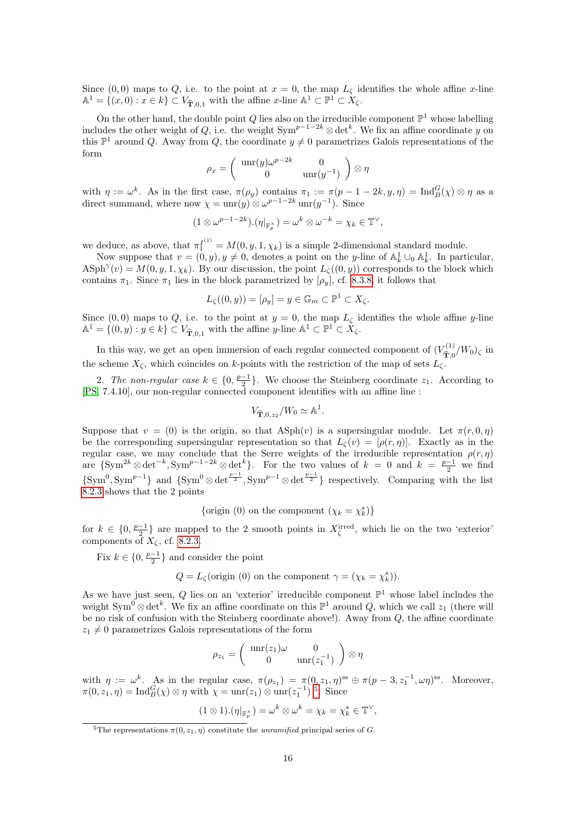Since (0,0) maps to Q, i.e. to the point at  $x = 0$ , the map  $L_{\zeta}$  identifies the whole affine x-line  $\mathbb{A}^1 = \{(x, 0) : x \in k\} \subset V_{\widehat{\mathbf{T}},0,1}$  with the affine  $x$ -line  $\mathbb{A}^1 \subset \mathbb{P}^1 \subset X_{\zeta}$ .

On the other hand, the double point Q lies also on the irreducible component  $\mathbb{P}^1$  whose labelling includes the other weight of Q, i.e. the weight  $Sym^{p-1-2k} \otimes \det^k$ . We fix an affine coordinate y on this  $\mathbb{P}^1$  around Q. Away from Q, the coordinate  $y \neq 0$  parametrizes Galois representations of the form

$$
\rho_x = \begin{pmatrix} \operatorname{unr}(y)\omega^{p-2k} & 0\\ 0 & \operatorname{unr}(y^{-1}) \end{pmatrix} \otimes \eta
$$

with  $\eta := \omega^k$ . As in the first case,  $\pi(\rho_y)$  contains  $\pi_1 := \pi(p-1-2k, y, \eta) = \text{Ind}_{B}^{G}(\chi) \otimes \eta$  as a direct summand, where now  $\chi = \text{unr}(y) \otimes \omega^{p-1-2k} \text{unr}(y^{-1})$ . Since

$$
(1\otimes \omega^{p-1-2k}).(\eta|_{\mathbb{F}_p^{\times}})=\omega^k\otimes \omega^{-k}=\chi_k\in \mathbb{T}^{\vee},
$$

we deduce, as above, that  $\pi_1^{I^{(1)}} = M(0, y, 1, \chi_k)$  is a simple 2-dimensional standard module.

Now suppose that  $v = (0, y), y \neq 0$ , denotes a point on the y-line of  $\mathbb{A}^1_k \cup_0 \mathbb{A}^1_k$ . In particular,  $\text{ASph}^{\gamma}(v) = M(0, y, 1, \chi_k)$ . By our discussion, the point  $L_{\zeta}((0, y))$  corresponds to the block which contains  $\pi_1$ . Since  $\pi_1$  lies in the block parametrized by  $[\rho_y]$ , cf. [8.3.8,](#page-9-1) it follows that

$$
L_{\zeta}((0,y)) = [\rho_y] = y \in \mathbb{G}_m \subset \mathbb{P}^1 \subset X_{\zeta}.
$$

Since  $(0,0)$  maps to Q, i.e. to the point at  $y=0$ , the map  $L_{\zeta}$  identifies the whole affine y-line  $\mathbb{A}^1 = \{(0, y) : y \in k\} \subset V_{\widehat{\mathbf{T}},0,1}$  with the affine y-line  $\mathbb{A}^1 \subset \mathbb{P}^1 \subset X_{\zeta}$ .

In this way, we get an open immersion of each regular connected component of  $(V_{\widehat{\mathbf{G}}_{\widehat{\mathbf{G}}}}^{(1)})$  $\hat{\mathbf{T}}_{0}^{(1)}/W_{0}$ )<sub> $\zeta$ </sub> in the scheme  $X_{\zeta}$ , which coincides on k-points with the restriction of the map of sets  $L_{\zeta}$ .

2. The non-regular case  $k \in \{0, \frac{p-1}{2}\}$ . We choose the Steinberg coordinate  $z_1$ . According to [\[PS,](#page-22-0) 7.4.10], our non-regular connected component identifies with an affine line :

$$
V_{\widehat{\mathbf{T}},0,z_2}/W_0 \simeq \mathbb{A}^1.
$$

Suppose that  $v = (0)$  is the origin, so that  $\text{ASph}(v)$  is a supersingular module. Let  $\pi(r, 0, \eta)$ be the corresponding supersingular representation so that  $L_{\zeta}(v) = [\rho(r,\eta)]$ . Exactly as in the regular case, we may conclude that the Serre weights of the irreducible representation  $\rho(r,\eta)$ are  ${\{\text{Sym}^{2k} \otimes \det^{-k}, \text{Sym}^{p-1-2k} \otimes \det^{k}\}}$ . For the two values of  $k = 0$  and  $k = \frac{p-1}{2}$  we find  $\{Sym^0, Sym^{p-1}\}\$ and  $\{Sym^0 \otimes \det^{\frac{p-1}{2}}, Sym^{p-1} \otimes \det^{\frac{p-1}{2}}\}$  respectively. Comparing with the list [8.2.3](#page-5-2) shows that the 2 points

{origin (0) on the component  $(\chi_k = \chi_k^s)$ }

for  $k \in \{0, \frac{p-1}{2}\}\$ are mapped to the 2 smooth points in  $X_{\zeta}^{\text{irred}}$ , which lie on the two 'exterior' components of  $X_{\zeta}$ , cf. [8.2.3.](#page-5-2)

Fix  $k \in \{0, \frac{p-1}{2}\}$  and consider the point

 $Q = L_{\zeta}$ (origin (0) on the component  $\gamma = (\chi_k = \chi_k^s)$ ).

As we have just seen, Q lies on an 'exterior' irreducible component  $\mathbb{P}^1$  whose label includes the weight Sym<sup>0</sup> ⊗ det<sup>k</sup>. We fix an affine coordinate on this  $\mathbb{P}^1$  around Q, which we call  $z_1$  (there will be no risk of confusion with the Steinberg coordinate above!). Away from Q, the affine coordinate  $z_1 \neq 0$  parametrizes Galois representations of the form

$$
\rho_{z_1} = \begin{pmatrix} \operatorname{unr}(z_1)\omega & 0\\ 0 & \operatorname{unr}(z_1^{-1}) \end{pmatrix} \otimes \eta
$$

with  $\eta := \omega^k$ . As in the regular case,  $\pi(\rho_{z_1}) = \pi(0, z_1, \eta)$ <sup>ss</sup>  $\oplus \pi(p-3, z_1^{-1}, \omega \eta)$ <sup>ss</sup>. Moreover,  $\pi(0, z_1, \eta) = \text{Ind}_{B}^{G}(\chi) \otimes \eta$  with  $\chi = \text{unr}(z_1) \otimes \text{unr}(z_1^{-1})$  <sup>[5](#page-15-0)</sup>. Since

$$
(1 \otimes 1).(\eta|_{\mathbb{F}_p^{\times}}) = \omega^k \otimes \omega^k = \chi_k = \chi_k^s \in \mathbb{T}^{\vee},
$$

<span id="page-15-0"></span><sup>&</sup>lt;sup>5</sup>The representations  $\pi(0, z_1, \eta)$  constitute the *unramified* principal series of G.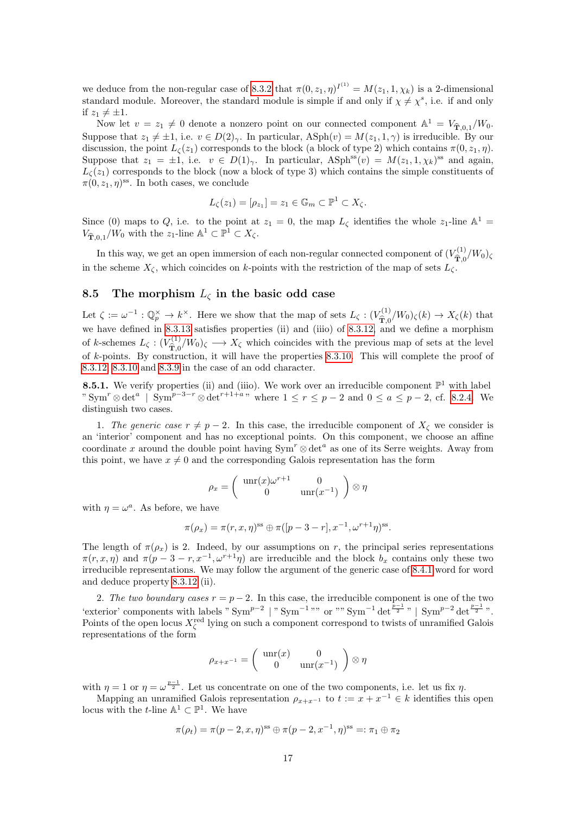we deduce from the non-regular case of [8.3.2](#page-6-3) that  $\pi(0, z_1, \eta)^{I^{(1)}} = M(z_1, 1, \chi_k)$  is a 2-dimensional standard module. Moreover, the standard module is simple if and only if  $\chi \neq \chi^s$ , i.e. if and only if  $z_1 \neq \pm 1$ .

Now let  $v = z_1 \neq 0$  denote a nonzero point on our connected component  $\mathbb{A}^1 = V_{\hat{\mathbf{T}},0,1}/W_0$ . Suppose that  $z_1 \neq \pm 1$ , i.e.  $v \in D(2)_{\gamma}$ . In particular,  $\text{Asph}(v) = M(z_1, 1, \gamma)$  is irreducible. By our discussion, the point  $L_{\mathcal{L}}(z_1)$  corresponds to the block (a block of type 2) which contains  $\pi(0, z_1, \eta)$ . Suppose that  $z_1 = \pm 1$ , i.e.  $v \in D(1)_{\gamma}$ . In particular,  $\text{ASph}^{\text{ss}}(v) = M(z_1, 1, \chi_k)^{\text{ss}}$  and again,  $L_{\zeta}(z_1)$  corresponds to the block (now a block of type 3) which contains the simple constituents of  $\pi(0, z_1, \eta)$ <sup>ss</sup>. In both cases, we conclude

$$
L_{\zeta}(z_1) = [\rho_{z_1}] = z_1 \in \mathbb{G}_m \subset \mathbb{P}^1 \subset X_{\zeta}.
$$

Since (0) maps to Q, i.e. to the point at  $z_1 = 0$ , the map  $L_{\zeta}$  identifies the whole  $z_1$ -line  $\mathbb{A}^1$  =  $V_{\widehat{\mathbf{T}},0,1}/W_0$  with the  $z_1$ -line  $\mathbb{A}^1 \subset \mathbb{P}^1 \subset X_{\zeta}$ .

In this way, we get an open immersion of each non-regular connected component of  $(V_{\hat{\mathbf{m}}}^{(1)})$  $\hat{\mathbf{T}}_{0}^{(1)}/W_{0}$ ) in the scheme  $X_{\zeta}$ , which coincides on k-points with the restriction of the map of sets  $L_{\zeta}$ .

#### <span id="page-16-0"></span>8.5 The morphism  $L_{\zeta}$  in the basic odd case

Let  $\zeta := \omega^{-1} : \mathbb{Q}_p^{\times} \to k^{\times}$ . Here we show that the map of sets  $L_{\zeta} : (V_{\hat{\mathbf{T}}_0}^{(1)})$  $T_{\hat{\mathbf{T}},0}^{(1)}/W_0$ )<sub> $\zeta(k) \to X_{\zeta}(k)$  that</sub> we have defined in [8.3.13](#page-11-0) satisfies properties (ii) and (iiio) of [8.3.12,](#page-10-2) and we define a morphism of k-schemes  $L_{\zeta}$  :  $(V_{\widehat{\mathbf{T}}}_{0}^{(1)})$  $\hat{T}_{\overline{X}}^{(1)}/W_0$ )<sub> $\zeta \longrightarrow X_{\zeta}$ </sub> which coincides with the previous map of sets at the level of k-points. By construction, it will have the properties [8.3.10.](#page-10-1) This will complete the proof of [8.3.12,](#page-10-2) [8.3.10](#page-10-1) and [8.3.9](#page-10-0) in the case of an odd character.

<span id="page-16-1"></span>**8.5.1.** We verify properties (ii) and (iiio). We work over an irreducible component  $\mathbb{P}^1$  with label "  $\text{Sym}^r \otimes \det^a$  |  $\text{Sym}^{p-3-r} \otimes \det^{r+1+a}$ " where  $1 \leq r \leq p-2$  and  $0 \leq a \leq p-2$ , cf. [8.2.4.](#page-6-4) We distinguish two cases.

1. The generic case  $r \neq p - 2$ . In this case, the irreducible component of  $X_{\zeta}$  we consider is an 'interior' component and has no exceptional points. On this component, we choose an affine coordinate x around the double point having  $Sym^r \otimes det^a$  as one of its Serre weights. Away from this point, we have  $x \neq 0$  and the corresponding Galois representation has the form

$$
\rho_x = \begin{pmatrix} \operatorname{unr}(x)\omega^{r+1} & 0\\ 0 & \operatorname{unr}(x^{-1}) \end{pmatrix} \otimes \eta
$$

with  $\eta = \omega^a$ . As before, we have

$$
\pi(\rho_x) = \pi(r, x, \eta)^{\text{ss}} \oplus \pi([p-3-r], x^{-1}, \omega^{r+1}\eta)^{\text{ss}}.
$$

The length of  $\pi(\rho_x)$  is 2. Indeed, by our assumptions on r, the principal series representations  $\pi(r, x, \eta)$  and  $\pi(p-3-r, x^{-1}, \omega^{r+1}\eta)$  are irreducible and the block  $b_x$  contains only these two irreducible representations. We may follow the argument of the generic case of [8.4.1](#page-12-1) word for word and deduce property [8.3.12](#page-10-2) (ii).

2. The two boundary cases  $r = p - 2$ . In this case, the irreducible component is one of the two 'exterior' components with labels " $\text{Sym}^{p-2}$  | " $\text{Sym}^{-1}$ "" or "" $\text{Sym}^{-1} \det^{\frac{p-1}{2}}$ " |  $\text{Sym}^{p-2} \det^{\frac{p-1}{2}}$ ". Points of the open locus  $X_{\zeta}^{\text{red}}$  lying on such a component correspond to twists of unramified Galois representations of the form

$$
\rho_{x+x^{-1}} = \begin{pmatrix} \text{unr}(x) & 0\\ 0 & \text{unr}(x^{-1}) \end{pmatrix} \otimes \eta
$$

with  $\eta = 1$  or  $\eta = \omega^{\frac{p-1}{2}}$ . Let us concentrate on one of the two components, i.e. let us fix  $\eta$ .

Mapping an unramified Galois representation  $\rho_{x+x^{-1}}$  to  $t := x + x^{-1} \in k$  identifies this open locus with the *t*-line  $\mathbb{A}^1 \subset \mathbb{P}^1$ . We have

$$
\pi(\rho_t) = \pi(p-2, x, \eta)^{ss} \oplus \pi(p-2, x^{-1}, \eta)^{ss} =: \pi_1 \oplus \pi_2
$$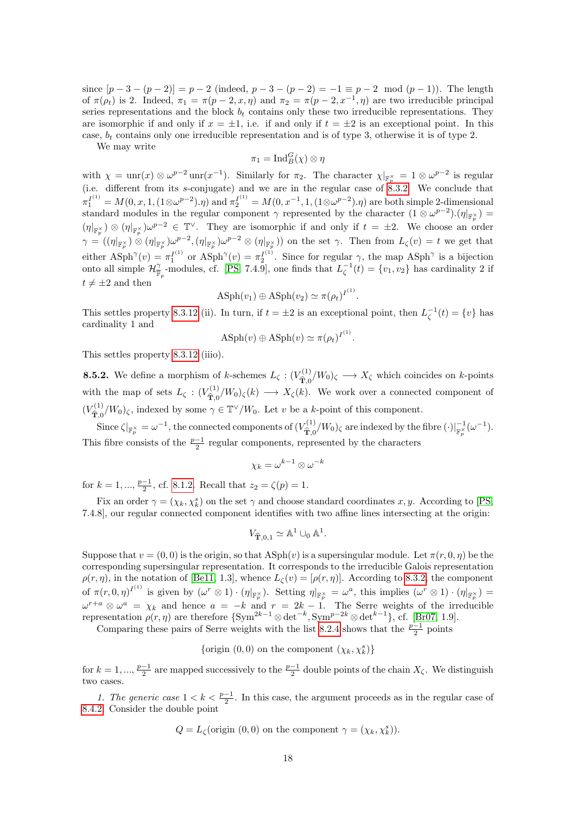since  $[p-3-(p-2)] = p-2$  (indeed,  $p-3-(p-2) = -1 \equiv p-2 \mod (p-1)$ ). The length of  $\pi(\rho_t)$  is 2. Indeed,  $\pi_1 = \pi(p-2, x, \eta)$  and  $\pi_2 = \pi(p-2, x^{-1}, \eta)$  are two irreducible principal series representations and the block  $b_t$  contains only these two irreducible representations. They are isomorphic if and only if  $x = \pm 1$ , i.e. if and only if  $t = \pm 2$  is an exceptional point. In this case,  $b_t$  contains only one irreducible representation and is of type 3, otherwise it is of type 2.

We may write

$$
\pi_1 = \text{Ind}_B^G(\chi) \otimes \eta
$$

with  $\chi = \text{unr}(x) \otimes \omega^{p-2} \text{unr}(x^{-1})$ . Similarly for  $\pi_2$ . The character  $\chi|_{\mathbb{F}_p^{\times}} = 1 \otimes \omega^{p-2}$  is regular (i.e. different from its s-conjugate) and we are in the regular case of  $8.3.2$ . We conclude that  $\pi_1^{I^{(1)}} = M(0, x, 1, (1 \otimes \omega^{p-2}).\eta) \text{ and } \pi_2^{I^{(1)}} = M(0, x^{-1}, 1, (1 \otimes \omega^{p-2}).\eta) \text{ are both simple 2-dimensional and } \pi_2^{I^{(1)}} = M(0, x^{-1}, 1, (1 \otimes \omega^{p-2}).\eta)$ standard modules in the regular component  $\gamma$  represented by the character  $(1 \otimes \omega^{p-2}) \cdot (\eta|_{\mathbb{F}_p^{\times}}) =$  $(\eta|_{\mathbb{F}_p^{\times}}) \otimes (\eta|_{\mathbb{F}_p^{\times}}) \omega^{p-2} \in \mathbb{T}^{\vee}$ . They are isomorphic if and only if  $t = \pm 2$ . We choose an order  $\gamma = ((\eta|_{\mathbb{R}_{\infty}^{\times}}) \otimes (\eta|_{\mathbb{R}_{\infty}^{\times}}) \omega^{p-2}, (\eta|_{\mathbb{R}_{\infty}^{\times}}) \omega^{p-2} \otimes (\eta|_{\mathbb{R}_{\infty}^{\times}}))$  on the set  $\gamma$ . Then from  $L_{\zeta}(v) = t$  we get that either  $\text{A} \text{Sph}^{\gamma}(v) = \pi_1^{I^{(1)}} \text{ or } \text{A} \text{Sph}^{\gamma}(v) = \pi_2^{I^{(1)}}.$  Since for regular  $\gamma$ , the map  $\text{A} \text{Sph}^{\gamma}$  is a bijection onto all simple  $\mathcal{H}_{\mathbb{F}_p}^{\gamma}$ -modules, cf. [\[PS,](#page-22-0) 7.4.9], one finds that  $L_{\zeta}^{-1}(t) = \{v_1, v_2\}$  has cardinality 2 if  $t \neq \pm 2$  and then

$$
\text{ASph}(v_1) \oplus \text{ASph}(v_2) \simeq \pi(\rho_t)^{I^{(1)}}.
$$

This settles property [8.3.12](#page-10-2) (ii). In turn, if  $t = \pm 2$  is an exceptional point, then  $L_{\zeta}^{-1}(t) = \{v\}$  has cardinality 1 and

$$
\mathrm{ASph}(v) \oplus \mathrm{ASph}(v) \simeq \pi(\rho_t)^{I^{(1)}}.
$$

This settles property [8.3.12](#page-10-2) (iiio).

**8.5.2.** We define a morphism of k-schemes  $L_{\zeta}$  :  $(V_{\widehat{\mathbf{T}}_{0}}^{(1)})$  $\hat{T}_{\hat{T},0}^{(1)}/W_0$ )<sub> $\zeta \longrightarrow X_{\zeta}$ </sub> which coincides on k-points with the map of sets  $L_{\zeta}$  :  $(V_{\widehat{\mathbf{T}}}_{0}^{(1)})$  $\hat{T}_{\hat{T},0}^{(1)}/W_0$ )<sub> $\zeta(k) \longrightarrow X_{\zeta}(k)$ . We work over a connected component of</sub>  $(V_{\widehat{\mathbf{m}}_{\geq 0}}^{(1)}$  $\hat{T}_{\overline{1,0}}(W_0)$ <sub> $\zeta$ </sub>, indexed by some  $\gamma \in \mathbb{T}^{\vee}/W_0$ . Let v be a k-point of this component.

Since  $\zeta|_{\mathbb{F}_p^{\times}} = \omega^{-1}$ , the connected components of  $(V_{\widehat{\mathbf{T}}, 0}^{(1)})$  $\int_{\tilde{\mathbf{T}},0}^{(1)}/W_0)_{\zeta}$  are indexed by the fibre  $(\cdot)|_{\mathbb{F}_p^{\times}}^{-1}(\omega^{-1}).$ This fibre consists of the  $\frac{p-1}{2}$  regular components, represented by the characters

$$
\chi_k=\omega^{k-1}\otimes \omega^{-k}
$$

for  $k = 1, ..., \frac{p-1}{2}$ , cf. [8.1.2.](#page-2-3) Recall that  $z_2 = \zeta(p) = 1$ .

Fix an order  $\gamma = (\chi_k, \chi_k^s)$  on the set  $\gamma$  and choose standard coordinates x, y. According to [\[PS,](#page-22-0) 7.4.8], our regular connected component identifies with two affine lines intersecting at the origin:

$$
V_{\widehat{\mathbf{T}},0,1} \simeq \mathbb{A}^1 \cup_0 \mathbb{A}^1.
$$

Suppose that  $v = (0, 0)$  is the origin, so that  $\text{ASph}(v)$  is a supersingular module. Let  $\pi(r, 0, \eta)$  be the corresponding supersingular representation. It corresponds to the irreducible Galois representation  $\rho(r,\eta)$ , in the notation of [\[Be11,](#page-21-4) 1.3], whence  $L_{\zeta}(v) = [\rho(r,\eta)]$ . According to [8.3.2,](#page-6-3) the component of  $\pi(r,0,\eta)^{I^{(1)}}$  is given by  $(\omega^r \otimes 1) \cdot (\eta|_{\mathbb{F}_p^{\times}})$ . Setting  $\eta|_{\mathbb{F}_p^{\times}} = \omega^a$ , this implies  $(\omega^r \otimes 1) \cdot (\eta|_{\mathbb{F}_p^{\times}}) =$  $\omega^{r+a} \otimes \omega^a = \chi_k$  and hence  $a = -k$  and  $r = 2k - 1$ . The Serre weights of the irreducible representation  $\rho(r,\eta)$  are therefore  $\{\text{Sym}^{2k-1}\otimes \det^{-k}, \text{Sym}^{p-2k}\otimes \det^{k-1}\},$  cf. [\[Br07,](#page-21-5) 1.9].

Comparing these pairs of Serre weights with the list [8.2.4](#page-6-4) shows that the  $\frac{p-1}{2}$  points

{origin  $(0,0)$  on the component  $(\chi_k, \chi_k^s)$ }

for  $k = 1, ..., \frac{p-1}{2}$  are mapped successively to the  $\frac{p-1}{2}$  double points of the chain  $X_{\zeta}$ . We distinguish two cases.

1. The generic case  $1 < k < \frac{p-1}{2}$ . In this case, the argument proceeds as in the regular case of [8.4.2.](#page-14-0) Consider the double point

$$
Q = L_{\zeta}
$$
(origin (0,0) on the component  $\gamma = (\chi_k, \chi_k^s)$ ).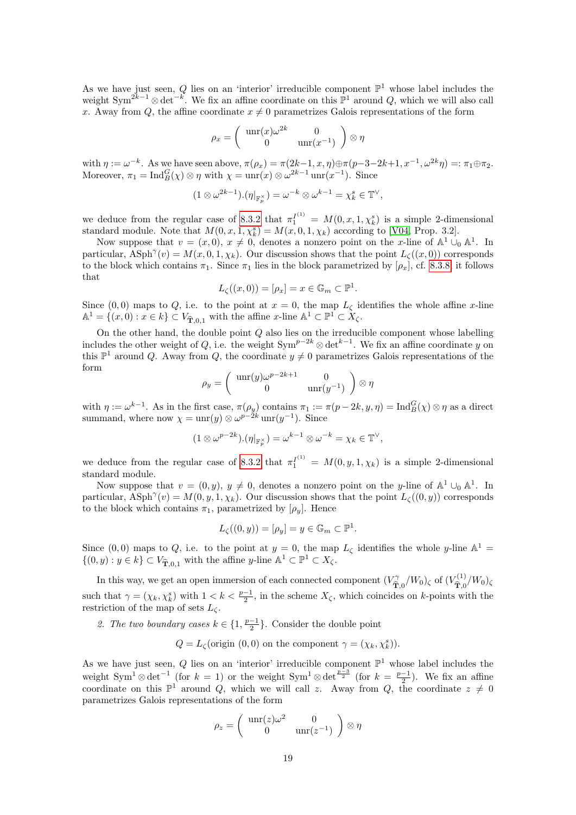As we have just seen, Q lies on an 'interior' irreducible component  $\mathbb{P}^1$  whose label includes the weight Sym<sup>2k-1</sup> ⊗ det<sup>-k</sup>. We fix an affine coordinate on this  $\mathbb{P}^1$  around Q, which we will also call x. Away from Q, the affine coordinate  $x \neq 0$  parametrizes Galois representations of the form

$$
\rho_x = \begin{pmatrix} \operatorname{unr}(x)\omega^{2k} & 0\\ 0 & \operatorname{unr}(x^{-1}) \end{pmatrix} \otimes \eta
$$

with  $\eta := \omega^{-k}$ . As we have seen above,  $\pi(\rho_x) = \pi(2k-1, x, \eta) \oplus \pi(p-3-2k+1, x^{-1}, \omega^{2k}\eta) =: \pi_1 \oplus \pi_2$ . Moreover,  $\pi_1 = \text{Ind}_{B}^{G}(\chi) \otimes \eta$  with  $\chi = \text{unr}(x) \otimes \omega^{2k-1} \text{unr}(x^{-1})$ . Since

$$
(1 \otimes \omega^{2k-1}).(\eta|_{\mathbb{F}_p^{\times}}) = \omega^{-k} \otimes \omega^{k-1} = \chi_k^s \in \mathbb{T}^{\vee},
$$

we deduce from the regular case of [8.3.2](#page-6-3) that  $\pi_1^{I^{(1)}} = M(0, x, 1, \chi_k^s)$  is a simple 2-dimensional standard module. Note that  $M(0, x, 1, \chi_k^s) = M(x, 0, 1, \chi_k)$  according to [\[V04,](#page-22-2) Prop. 3.2].

Now suppose that  $v = (x, 0), x \neq 0$ , denotes a nonzero point on the x-line of  $\mathbb{A}^1 \cup_0 \mathbb{A}^1$ . In particular,  $\text{ASph}^{\gamma}(v) = M(x, 0, 1, \chi_k)$ . Our discussion shows that the point  $L_{\zeta}((x, 0))$  corresponds to the block which contains  $\pi_1$ . Since  $\pi_1$  lies in the block parametrized by  $[\rho_x]$ , cf. [8.3.8,](#page-9-1) it follows that

$$
L_{\zeta}((x,0)) = [\rho_x] = x \in \mathbb{G}_m \subset \mathbb{P}^1.
$$

Since  $(0,0)$  maps to Q, i.e. to the point at  $x = 0$ , the map  $L_{\zeta}$  identifies the whole affine x-line  $\mathbb{A}^1 = \{(x, 0) : x \in k\} \subset V_{\widehat{\mathbf{T}},0,1}$  with the affine  $x$ -line  $\mathbb{A}^1 \subset \mathbb{P}^1 \subset X_{\zeta}$ .

On the other hand, the double point  $Q$  also lies on the irreducible component whose labelling includes the other weight of Q, i.e. the weight Sym<sup>p-2k</sup> ⊗ det<sup>k-1</sup>. We fix an affine coordinate y on this  $\mathbb{P}^1$  around Q. Away from Q, the coordinate  $y \neq 0$  parametrizes Galois representations of the form

$$
\rho_y = \begin{pmatrix} \operatorname{unr}(y)\omega^{p-2k+1} & 0\\ 0 & \operatorname{unr}(y^{-1}) \end{pmatrix} \otimes \eta
$$

with  $\eta := \omega^{k-1}$ . As in the first case,  $\pi(\rho_y)$  contains  $\pi_1 := \pi(p-2k, y, \eta) = \text{Ind}_{B}^{G}(\chi) \otimes \eta$  as a direct summand, where now  $\chi = \text{unr}(y) \otimes \omega^{p-2k} \text{unr}(y^{-1})$ . Since

$$
(1\otimes \omega^{p-2k}).(\eta|_{\mathbb{F}_p^{\times}})=\omega^{k-1}\otimes \omega^{-k}=\chi_k\in \mathbb{T}^{\vee},
$$

we deduce from the regular case of [8.3.2](#page-6-3) that  $\pi_1^{I^{(1)}} = M(0, y, 1, \chi_k)$  is a simple 2-dimensional standard module.

Now suppose that  $v = (0, y), y \neq 0$ , denotes a nonzero point on the y-line of  $\mathbb{A}^1 \cup_0 \mathbb{A}^1$ . In particular,  $\text{ASph}^{\gamma}(v) = M(0, y, 1, \chi_k)$ . Our discussion shows that the point  $L_{\zeta}((0, y))$  corresponds to the block which contains  $\pi_1$ , parametrized by  $[\rho_y]$ . Hence

$$
L_{\zeta}((0,y)) = [\rho_y] = y \in \mathbb{G}_m \subset \mathbb{P}^1.
$$

Since (0,0) maps to Q, i.e. to the point at  $y = 0$ , the map  $L_{\zeta}$  identifies the whole y-line  $\mathbb{A}^1$  =  $\{(0, y) : y \in k\} \subset V_{\widehat{\mathbf{T}},0,1}$  with the affine y-line  $\mathbb{A}^1 \subset \mathbb{P}^1 \subset X_{\zeta}$ .

In this way, we get an open immersion of each connected component  $(V^{\gamma}_{\widehat{\mathbf{m}}}$  $\int_{\widehat{\mathbf{T}},0}^{\gamma}/W_0$ )<sub> $\zeta$ </sub> of  $(V_{\widehat{\mathbf{T}},0}^{(1)})$  $\hat{\hat{\mathbf{T}},0}^{(1)}/W_0$ ) such that  $\gamma = (\chi_k, \chi_k^s)$  with  $1 < k < \frac{p-1}{2}$ , in the scheme  $X_{\zeta}$ , which coincides on k-points with the restriction of the map of sets  $L_{\zeta}$ .

2. The two boundary cases  $k \in \{1, \frac{p-1}{2}\}$ . Consider the double point

 $Q = L_{\zeta}$ (origin (0,0) on the component  $\gamma = (\chi_k, \chi_k^s)$ ).

As we have just seen, Q lies on an 'interior' irreducible component  $\mathbb{P}^1$  whose label includes the weight Sym<sup>1</sup> ⊗ det<sup>-1</sup> (for k = 1) or the weight Sym<sup>1</sup> ⊗ det<sup> $\frac{p-3}{2}$ </sup> (for k =  $\frac{p-1}{2}$ ). We fix an affine coordinate on this  $\mathbb{P}^1$  around Q, which we will call z. Away from Q, the coordinate  $z \neq 0$ parametrizes Galois representations of the form

$$
\rho_z = \begin{pmatrix} \operatorname{unr}(z)\omega^2 & 0\\ 0 & \operatorname{unr}(z^{-1}) \end{pmatrix} \otimes \eta
$$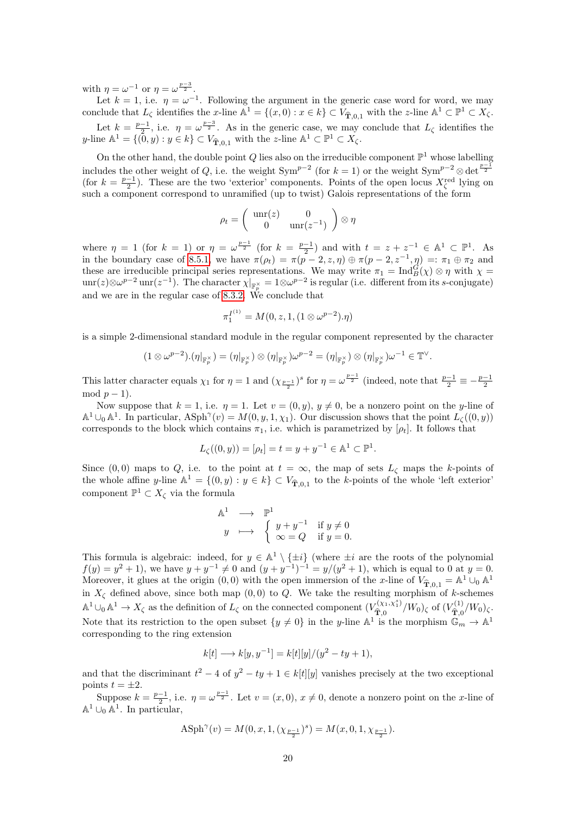with  $\eta = \omega^{-1}$  or  $\eta = \omega^{\frac{p-3}{2}}$ .

Let  $k = 1$ , i.e.  $\eta = \omega^{-1}$ . Following the argument in the generic case word for word, we may conclude that  $L_{\zeta}$  identifies the x-line  $\mathbb{A}^1 = \{(x, 0) : x \in k\} \subset V_{\hat{\mathbf{T}},0,1}$  with the z-line  $\mathbb{A}^1 \subset \mathbb{P}^1 \subset X_{\zeta}$ .

Let  $k = \frac{p-1}{2}$ , i.e.  $\eta = \omega^{\frac{p-3}{2}}$ . As in the generic case, we may conclude that  $L_{\zeta}$  identifies the y-line  $\mathbb{A}^1 = \{(\tilde{0}, y) : y \in k\} \subset V_{\widehat{\mathbf{T}},0,1}$  with the z-line  $\mathbb{A}^1 \subset \mathbb{P}^1 \subset X_{\zeta}$ .

On the other hand, the double point Q lies also on the irreducible component  $\mathbb{P}^1$  whose labelling includes the other weight of Q, i.e. the weight Sym<sup>p-2</sup> (for  $k = 1$ ) or the weight Sym<sup>p-2</sup> ⊗ det<sup> $\frac{p-1}{2}$ </sup> (for  $k = \frac{p-1}{2}$ ). These are the two 'exterior' components. Points of the open locus  $X_{\zeta}^{\text{red}}$  lying on such a component correspond to unramified (up to twist) Galois representations of the form

$$
\rho_t = \left(\begin{array}{cc} \text{unr}(z) & 0\\ 0 & \text{unr}(z^{-1}) \end{array}\right) \otimes \eta
$$

where  $\eta = 1$  (for  $k = 1$ ) or  $\eta = \omega^{\frac{p-1}{2}}$  (for  $k = \frac{p-1}{2}$ ) and with  $t = z + z^{-1} \in \mathbb{A}^1 \subset \mathbb{P}^1$ . As in the boundary case of [8.5.1,](#page-16-1) we have  $\pi(\rho_t) = \pi(\overline{p-2}, z, \eta) \oplus \pi(\overline{p-2}, z^{-1}, \eta) =: \pi_1 \oplus \pi_2$  and these are irreducible principal series representations. We may write  $\pi_1 = \text{Ind}_{B}^{G}(\chi) \otimes \eta$  with  $\chi =$  $unr(z) \otimes \omega^{p-2}$  unr $(z^{-1})$ . The character  $\chi|_{\mathbb{F}_p^{\times}} = 1 \otimes \omega^{p-2}$  is regular (i.e. different from its s-conjugate) and we are in the regular case of [8.3.2.](#page-6-3) We conclude that

$$
\pi_1^{I^{(1)}} = M(0, z, 1, (1 \otimes \omega^{p-2}).\eta)
$$

is a simple 2-dimensional standard module in the regular component represented by the character

$$
(1 \otimes \omega^{p-2}).(\eta|_{\mathbb{F}_p^{\times}}) = (\eta|_{\mathbb{F}_p^{\times}}) \otimes (\eta|_{\mathbb{F}_p^{\times}}) \omega^{p-2} = (\eta|_{\mathbb{F}_p^{\times}}) \otimes (\eta|_{\mathbb{F}_p^{\times}}) \omega^{-1} \in \mathbb{T}^{\vee}
$$

.

This latter character equals  $\chi_1$  for  $\eta = 1$  and  $(\chi_{p-1}^{\qquad})^s$  for  $\eta = \omega^{\frac{p-1}{2}}$  (indeed, note that  $\frac{p-1}{2} \equiv -\frac{p-1}{2}$ mod  $p-1$ ).

Now suppose that  $k = 1$ , i.e.  $\eta = 1$ . Let  $v = (0, y)$ ,  $y \neq 0$ , be a nonzero point on the y-line of  $\mathbb{A}^1 \cup_0 \mathbb{A}^1$ . In particular,  $\text{ASph}^{\gamma}(v) = M(0, y, 1, \chi_1)$ . Our discussion shows that the point  $L_{\zeta}((0, y))$ corresponds to the block which contains  $\pi_1$ , i.e. which is parametrized by  $[\rho_t]$ . It follows that

$$
L_{\zeta}((0, y)) = [\rho_t] = t = y + y^{-1} \in \mathbb{A}^1 \subset \mathbb{P}^1.
$$

Since (0,0) maps to Q, i.e. to the point at  $t = \infty$ , the map of sets  $L_{\zeta}$  maps the k-points of the whole affine y-line  $\mathbb{A}^1 = \{(0, y) : y \in k\} \subset V_{\hat{\mathbf{T}},0,1}$  to the k-points of the whole 'left exterior' component  $\mathbb{P}^1 \subset X_{\zeta}$  via the formula

$$
\begin{array}{rcl}\n\mathbb{A}^1 & \longrightarrow & \mathbb{P}^1 \\
y & \longmapsto & \begin{cases}\ny + y^{-1} & \text{if } y \neq 0 \\
\infty = Q & \text{if } y = 0.\n\end{cases}\n\end{array}
$$

This formula is algebraic: indeed, for  $y \in \mathbb{A}^1 \setminus \{\pm i\}$  (where  $\pm i$  are the roots of the polynomial  $f(y) = y^2 + 1$ , we have  $y + y^{-1} \neq 0$  and  $(y + y^{-1})^{-1} = y/(y^2 + 1)$ , which is equal to 0 at  $y = 0$ . Moreover, it glues at the origin  $(0,0)$  with the open immersion of the x-line of  $V_{\hat{\mathbf{T}},0,1} = \mathbb{A}^1 \cup_0 \mathbb{A}^1$ in  $X_{\zeta}$  defined above, since both map  $(0,0)$  to  $Q$ . We take the resulting morphism of k-schemes  $\mathbb{A}^1 \cup_0 \mathbb{A}^1 \to X_{\zeta}$  as the definition of  $L_{\zeta}$  on the connected component  $(V_{\widehat{\mathbf{T}}_0}^{(\chi_1,\chi_1^s)})$  $\hat{\mathbf{T}}_{0,0}^{(\chi_1,\chi_1^s)}/W_0$ )<sub> $\zeta$ </sub> of  $(V_{\mathbf{\hat{T}},0}^{(1)})$  $\hat{\hat{\mathbf{T}}}_{0}^{(1)}/W_{0}\rangle_{\zeta}.$ Note that its restriction to the open subset  $\{y \neq 0\}$  in the y-line  $\mathbb{A}^1$  is the morphism  $\mathbb{G}_m \to \mathbb{A}^1$ corresponding to the ring extension

$$
k[t] \longrightarrow k[y, y^{-1}] = k[t][y]/(y^2 - ty + 1),
$$

and that the discriminant  $t^2 - 4$  of  $y^2 - ty + 1 \in k[t][y]$  vanishes precisely at the two exceptional points  $t = \pm 2$ .

Suppose  $k = \frac{p-1}{2}$ , i.e.  $\eta = \omega^{\frac{p-1}{2}}$ . Let  $v = (x, 0), x \neq 0$ , denote a nonzero point on the *x*-line of  $\mathbb{A}^1 \cup_0 \mathbb{A}^1$ . In particular,

$$
\text{ASph}^\gamma(v) = M(0,x,1,(\chi_{\frac{p-1}{2}})^s) = M(x,0,1,\chi_{\frac{p-1}{2}}).
$$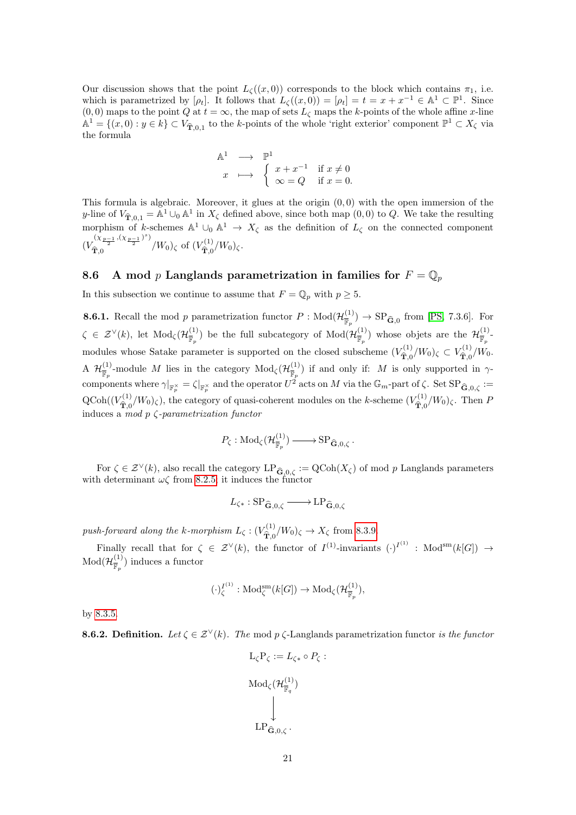Our discussion shows that the point  $L_{\zeta}((x,0))$  corresponds to the block which contains  $\pi_1$ , i.e. which is parametrized by  $[\rho_t]$ . It follows that  $L_{\zeta}((x,0)) = [\rho_t] = t = x + x^{-1} \in \mathbb{A}^1 \subset \mathbb{P}^1$ . Since  $(0, 0)$  maps to the point Q at  $t = \infty$ , the map of sets  $L_{\zeta}$  maps the k-points of the whole affine x-line  $\mathbb{A}^1 = \{(x, 0) : y \in k\} \subset V_{\hat{\mathbf{T}},0,1}$  to the k-points of the whole 'right exterior' component  $\mathbb{P}^1 \subset X_{\zeta}$  via the formula

$$
\begin{array}{ccc}\n\mathbb{A}^1 & \longrightarrow & \mathbb{P}^1 \\
x & \longmapsto & \begin{cases}\nx + x^{-1} & \text{if } x \neq 0 \\
\infty = Q & \text{if } x = 0.\n\end{cases}\n\end{array}
$$

This formula is algebraic. Moreover, it glues at the origin  $(0,0)$  with the open immersion of the y-line of  $V_{\hat{\mathbf{T}},0,1} = \mathbb{A}^1 \cup_0 \mathbb{A}^1$  in  $X_{\zeta}$  defined above, since both map  $(0,0)$  to Q. We take the resulting morphism of k-schemes  $\mathbb{A}^1 \cup_0 \mathbb{A}^1 \to X_{\zeta}$  as the definition of  $L_{\zeta}$  on the connected component  $(V_{\widehat{\mathbf{R}}^0}^{(\chi_{p-1},(\chi_{p-1})^s)})$  $\int_{\widehat{\mathbf{T}},0}^{\sqrt{\lambda}\frac{p-1}{2},\sqrt{\lambda}\frac{p-1}{2}}$  /  $W_0$ )<sub> $\zeta$ </sub> of  $(V_{\widehat{\mathbf{T}},0}^{(1)})$  $\hat{\mathbf{T}}_{0}^{(1)}/W_{0}$ )<sub> $\zeta$ </sub>.

#### <span id="page-20-0"></span>8.6 A mod p Langlands parametrization in families for  $F = \mathbb{Q}_p$

In this subsection we continue to assume that  $F = \mathbb{Q}_p$  with  $p \geq 5$ .

**8.6.1.** Recall the mod p parametrization functor  $P : \text{Mod}(\mathcal{H}_{\overline{p}}^{(1)})$  $(\frac{F_p}{\mathbb{F}_p}) \rightarrow \text{SP}_{\widehat{\mathbf{G}},0}$  from [\[PS,](#page-22-0) 7.3.6]. For  $\zeta \in \mathcal{Z}^{\vee}(k)$ , let  $\text{Mod}_{\zeta}(\mathcal{H}_{\overline{\mathbb{R}}}^{(1)})$  $\frac{1}{\mathbb{F}_p}$ ) be the full subcategory of  $\text{Mod}(\mathcal{H}_{\overline{\mathbb{F}}_p}^{(1)})$  $(\frac{1}{\mathbb{F}_p})$  whose objets are the  $\mathcal{H}^{(1)}_{\overline{\mathbb{F}}_p}$  $\frac{1}{\mathbb{F}_p}$  – modules whose Satake parameter is supported on the closed subscheme  $(V_{\hat{\mathbf{T}}_0}^{(1)}/W_0)_{\zeta} \subset V_{\hat{\mathbf{T}}_0}^{(1)}/W_0$ .  $\mathbf{T},0'$   $\cdots$   $0\%$   $\subset$   $\mathbf{T},0$  $\mathrm{A}$   $\mathcal{H}^{(1)}_{\overline{w}}$  $\frac{(1)}{\mathbb{F}_p}$ -module M lies in the category  $\text{Mod}_{\zeta}(\mathcal{H}_{\overline{\mathbb{F}}_p}^{(1)})$  $\binom{1}{\mathbb{F}_p}$  if and only if: M is only supported in  $\gamma$ components where  $\gamma|_{\mathbb{F}_p^{\times}} = \zeta|_{\mathbb{F}_p^{\times}}$  and the operator  $U^2$  acts on M via the  $\mathbb{G}_m$ -part of  $\zeta$ . Set  $SP_{\widehat{\mathbf{G}},0,\zeta} :=$  $\operatorname{QCoh}((V_{\widehat{\mathfrak{m}}})^{\{1\}}$  $T_{\hat{\mathbf{T}},0}^{(1)}/W_0)$ <sub> $\zeta$ </sub>), the category of quasi-coherent modules on the k-scheme  $(V_{\hat{\mathbf{T}},0}^{(1)})$  $\hat{\mathbf{T}}_{0}^{(1)}/W_{0}$ )<sub> $\zeta$ </sub>. Then *F* induces a mod  $p \, \zeta$ -parametrization functor

$$
P_{\zeta} : \mathrm{Mod}_{\zeta}(\mathcal{H}_{\overline{\mathbb{F}}_p}^{(1)}) \longrightarrow \mathrm{SP}_{\widehat{\mathbf{G}},0,\zeta}.
$$

For  $\zeta \in \mathcal{Z}^{\vee}(k)$ , also recall the category  $LP_{\widehat{\mathbf{G}},0,\zeta}} := \mathrm{QCoh}(X_{\zeta})$  of mod p Langlands parameters with determinant  $\omega\zeta$  from [8.2.5;](#page-6-5) it induces the functor

$$
L_{\zeta*}: \mathrm{SP}_{\widehat{\mathbf{G}},0,\zeta} \longrightarrow \mathrm{LP}_{\widehat{\mathbf{G}},0,\zeta}
$$

push-forward along the k-morphism  $L_{\zeta}$ :  $(V_{\widehat{\mathbf{T}}_0}^{(1)})$  $\hat{\mathbf{T}}_{0}^{(1)}/W_{0}\right)_{\zeta} \rightarrow X_{\zeta}$  from [8.3.9.](#page-10-0)

Finally recall that for  $\zeta \in \mathcal{Z}^{\vee}(k)$ , the functor of  $I^{(1)}$ -invariants  $(\cdot)^{I^{(1)}}$ : Mod<sup>sm</sup> $(k[G]) \rightarrow$  $\rm Mod({\mathcal H}_{\scriptscriptstyle \overline{\mathbb{R}}}^{(1)}$  $(\frac{1}{\mathbb{F}_p})$  induces a functor

$$
(\cdot)^{I^{(1)}}_{\zeta}: \mathrm{Mod}^{\mathrm{sm}}_{\zeta}(k[G]) \to \mathrm{Mod}_{\zeta}(\mathcal{H}^{(1)}_{\overline{\mathbb{F}}_p}),
$$

by [8.3.5.](#page-7-3)

**8.6.2. Definition.** Let  $\zeta \in \mathcal{Z}^{\vee}(k)$ . The mod p  $\zeta$ -Langlands parametrization functor is the functor

$$
L_{\zeta}P_{\zeta} := L_{\zeta*} \circ P_{\zeta} :
$$
  

$$
Mod_{\zeta}(\mathcal{H}_{\overline{\mathbb{F}}_q}^{(1)})
$$
  

$$
\downarrow
$$
  

$$
LP_{\widehat{\mathbf{G}},0,\zeta}.
$$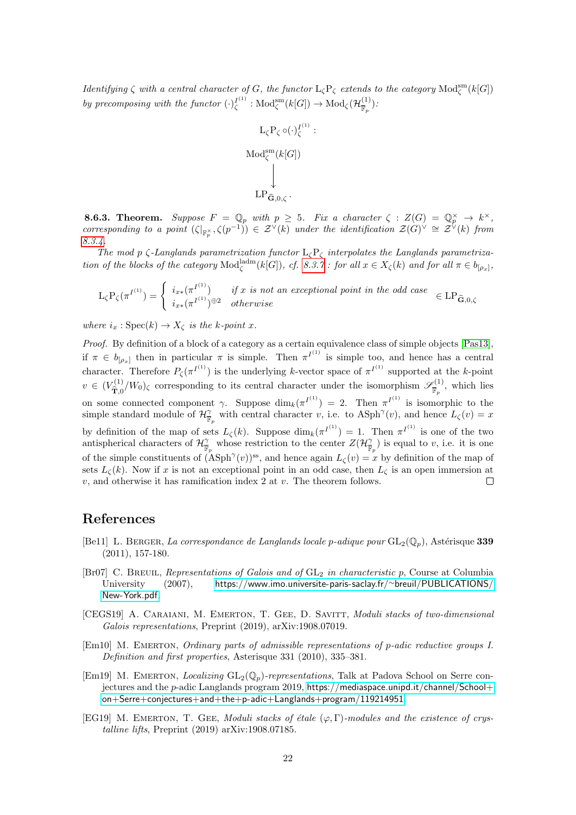*Identifying*  $\zeta$  with a central character of G, the functor  $L_{\zeta}P_{\zeta}$  extends to the category  $\text{Mod}_{\zeta}^{\text{sm}}(k[G])$ by precomposing with the functor  $\left(\cdot\right)_{\zeta}^{I^{(1)}}$  :  $\text{Mod}_{\zeta}^{\text{sm}}(k[G]) \to \text{Mod}_{\zeta}(\mathcal{H}_{\overline{\mathbb{F}}_{\overline{n}}}^{(1)})$  $(\frac{1}{\overline{\mathbb{F}}_p})$ :

:

$$
\begin{array}{c}\nL_{\zeta}P_{\zeta} \circ (\cdot)_{\zeta}^{I^{(1)}} \\
\text{Mod}_{\zeta}^{\text{sm}}(k[G]) \\
\downarrow \\
\text{LP}_{\widehat{\mathbf{G}},0,\zeta}.\n\end{array}
$$

<span id="page-21-3"></span>**8.6.3. Theorem.** Suppose  $F = \mathbb{Q}_p$  with  $p \geq 5$ . Fix a character  $\zeta : Z(G) = \mathbb{Q}_p^{\times} \to k^{\times}$ , corresponding to a point  $(\zeta|_{\mathbb{F}_p^{\times}}, \zeta(p^{-1})) \in \mathcal{Z}^{\vee}(k)$  under the identification  $\mathcal{Z}(G)^{\vee} \cong \mathcal{Z}^{\vee}(k)$  from [8.3.4.](#page-7-2)

The mod p  $\zeta$ -Langlands parametrization functor  $L_{\zeta}P_{\zeta}$  interpolates the Langlands parametrization of the blocks of the category  $\text{Mod}_{\zeta}^{\text{ladm}}(k[G]), \text{ cf. 8.3.7 : for all } x \in X_{\zeta}(k) \text{ and for all } \pi \in b_{[\rho_x]},$  $\text{Mod}_{\zeta}^{\text{ladm}}(k[G]), \text{ cf. 8.3.7 : for all } x \in X_{\zeta}(k) \text{ and for all } \pi \in b_{[\rho_x]},$  $\text{Mod}_{\zeta}^{\text{ladm}}(k[G]), \text{ cf. 8.3.7 : for all } x \in X_{\zeta}(k) \text{ and for all } \pi \in b_{[\rho_x]},$ 

$$
\mathcal{L}_{\zeta} \mathcal{P}_{\zeta}(\pi^{I^{(1)}}) = \begin{cases} i_{x*}(\pi^{I^{(1)}}) & \text{if } x \text{ is not an exceptional point in the odd case} \\ i_{x*}(\pi^{I^{(1)}})^{\oplus 2} & \text{otherwise} \end{cases} \in \mathcal{L} \mathcal{P}_{\widehat{\mathbf{G}},0,\zeta}
$$

where  $i_x : \text{Spec}(k) \to X_{\zeta}$  is the k-point x.

Proof. By definition of a block of a category as a certain equivalence class of simple objects [\[Pas13\]](#page-22-1), if  $\pi \in b_{[\rho_x]}$  then in particular  $\pi$  is simple. Then  $\pi^{I^{(1)}}$  is simple too, and hence has a central character. Therefore  $P_{\zeta}(\pi^{I^{(1)}})$  is the underlying k-vector space of  $\pi^{I^{(1)}}$  supported at the k-point  $v \in (V_{\hat{\mathbf{T}}_0}^{(1)}/W_0)_{\zeta}$  corresponding to its central character under the isomorphism  $\mathscr{S}_{\overline{\mathbb{R}}}^{(1)}$  $\frac{\partial^{(1)}}{\mathbb{F}_p}$ , which lies  $\mathbf{T},0$ on some connected component  $\gamma$ . Suppose  $\dim_k(\pi^{I^{(1)}}) = 2$ . Then  $\pi^{I^{(1)}}$  is isomorphic to the simple standard module of  $\mathcal{H}_{\overline{\mathbb{F}}_p}^{\gamma}$  with central character v, i.e. to  $\mathrm{ASph}^{\gamma}(v)$ , and hence  $L_{\zeta}(v) = x$ by definition of the map of sets  $L_{\zeta}(k)$ . Suppose  $\dim_k(\pi^{I^{(1)}}) = 1$ . Then  $\pi^{I^{(1)}}$  is one of the two antispherical characters of  $\mathcal{H}_{\overline{\mathbb{F}}_p}^{\gamma}$  whose restriction to the center  $Z(\mathcal{H}_{\overline{\mathbb{F}}_p}^{\gamma})$  is equal to v, i.e. it is one of the simple constituents of  $(\rm{ASph}^{\gamma}(v))^{ss}$ , and hence again  $L_{\zeta}(v) = x$  by definition of the map of sets  $L_{\zeta}(k)$ . Now if x is not an exceptional point in an odd case, then  $L_{\zeta}$  is an open immersion at  $v$ , and otherwise it has ramification index 2 at  $v$ . The theorem follows.  $\Box$ 

#### References

- <span id="page-21-4"></span>[Be11] L. BERGER, La correspondance de Langlands locale p-adique pour  $GL_2(\mathbb{Q}_p)$ , Astérisque 339 (2011), 157-180.
- <span id="page-21-5"></span>[Br07] C. BREUIL, Representations of Galois and of  $GL_2$  in characteristic p, Course at Columbia University (2007), [https://www.imo.universite-paris-saclay.fr/](https://www.imo.universite-paris-saclay.fr/~breuil/PUBLICATIONS/New-York.pdf)∼breuil/PUBLICATIONS/ [New-York.pdf](https://www.imo.universite-paris-saclay.fr/~breuil/PUBLICATIONS/New-York.pdf).
- <span id="page-21-2"></span>[CEGS19] A. CARAIANI, M. EMERTON, T. GEE, D. SAVITT, *Moduli stacks of two-dimensional* Galois representations, Preprint (2019), arXiv:1908.07019.
- <span id="page-21-6"></span>[Em10] M. Emerton, Ordinary parts of admissible representations of p-adic reductive groups I. Definition and first properties, Asterisque 331 (2010), 335–381.
- <span id="page-21-0"></span>[Em19] M. EMERTON, *Localizing*  $GL_2(\mathbb{Q}_p)$ -representations, Talk at Padova School on Serre conjectures and the p-adic Langlands program 2019, <https://mediaspace.unipd.it/channel/School+> <on+Serre+conjectures+and+the+p-adic+Langlands+program/119214951>.
- <span id="page-21-1"></span>[EG19] M. EMERTON, T. GEE, Moduli stacks of étale  $(\varphi, \Gamma)$ -modules and the existence of crystalline lifts, Preprint (2019) arXiv:1908.07185.